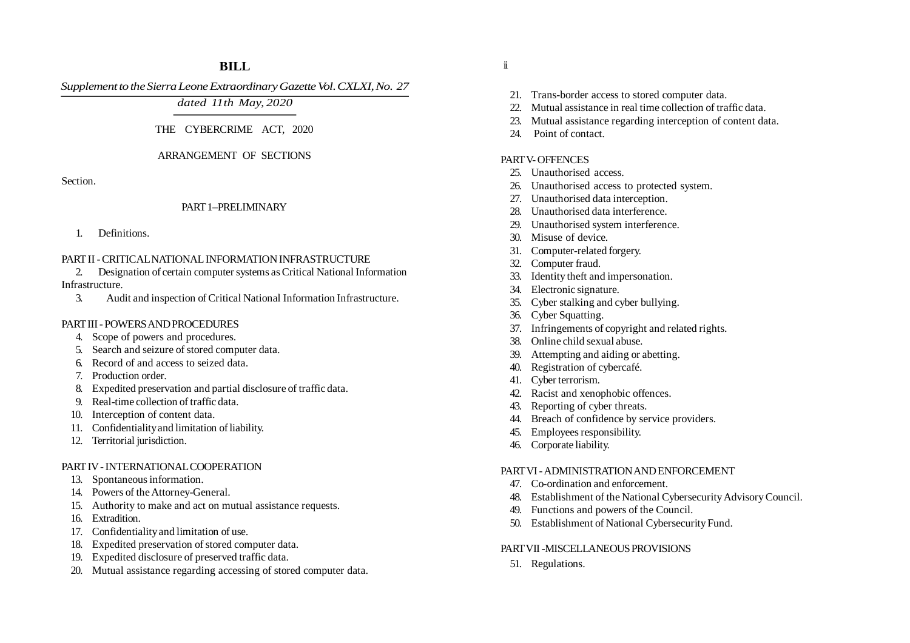# **BILL**

*Supplement to the Sierra Leone Extraordinary Gazette Vol. CXLXI, No. 27*

*dated 11th May, 2020*

## THE CYBERCRIME ACT, 2020

### ARRANGEMENT OF SECTIONS

Section.

### PART 1–PRELIMINARY

1. Definitions.

## PART II - CRITICAL NATIONAL INFORMATION INFRASTRUCTURE

2. Designation of certain computer systems as Critical National Information Infrastructure.

3. Audit and inspection of Critical National Information Infrastructure.

## PART III - POWERS AND PROCEDURES

- 4. Scope of powers and procedures.
- 5. Search and seizure of stored computer data.
- 6. Record of and access to seized data.
- 7. Production order.
- 8. Expedited preservation and partial disclosure of traffic data.
- 9. Real-time collection of traffic data.
- 10. Interception of content data.
- 11. Confidentiality and limitation of liability.
- 12. Territorial jurisdiction.

## PART IV - INTERNATIONAL COOPERATION

- 13. Spontaneous information.
- 14. Powers of the Attorney-General.
- 15. Authority to make and act on mutual assistance requests.
- 16. Extradition.
- 17. Confidentiality and limitation of use.
- 18. Expedited preservation of stored computer data.
- 19. Expedited disclosure of preserved traffic data.
- 20. Mutual assistance regarding accessing of stored computer data.
- ii
- 21. Trans-border access to stored computer data.
- 22. Mutual assistance in real time collection of traffic data.
- 23. Mutual assistance regarding interception of content data.
- 24. Point of contact.

## PART V- OFFENCES

- 25. Unauthorised access.
- 26. Unauthorised access to protected system.
- 27. Unauthorised data interception.
- 28. Unauthorised data interference.
- 29. Unauthorised system interference.
- 30. Misuse of device.
- 31. Computer-related forgery.
- 32. Computer fraud.
- 33. Identity theft and impersonation.
- 34. Electronic signature.
- 35. Cyber stalking and cyber bullying.
- 36. Cyber Squatting.
- 37. Infringements of copyright and related rights.
- 38. Online child sexual abuse.
- 39. Attempting and aiding or abetting.
- 40. Registration of cybercafé.
- 41. Cyber terrorism.
- 42. Racist and xenophobic offences.
- 43. Reporting of cyber threats.
- 44. Breach of confidence by service providers.
- 45. Employees responsibility.
- 46. Corporate liability.

### PART VI - ADMINISTRATION AND ENFORCEMENT

- 47. Co-ordination and enforcement.
- 48. Establishment of the National Cybersecurity Advisory Council.
- 49. Functions and powers of the Council.
- 50. Establishment of National Cybersecurity Fund.

### PART VII -MISCELL ANEOUS PROVISIONS

51. Regulations.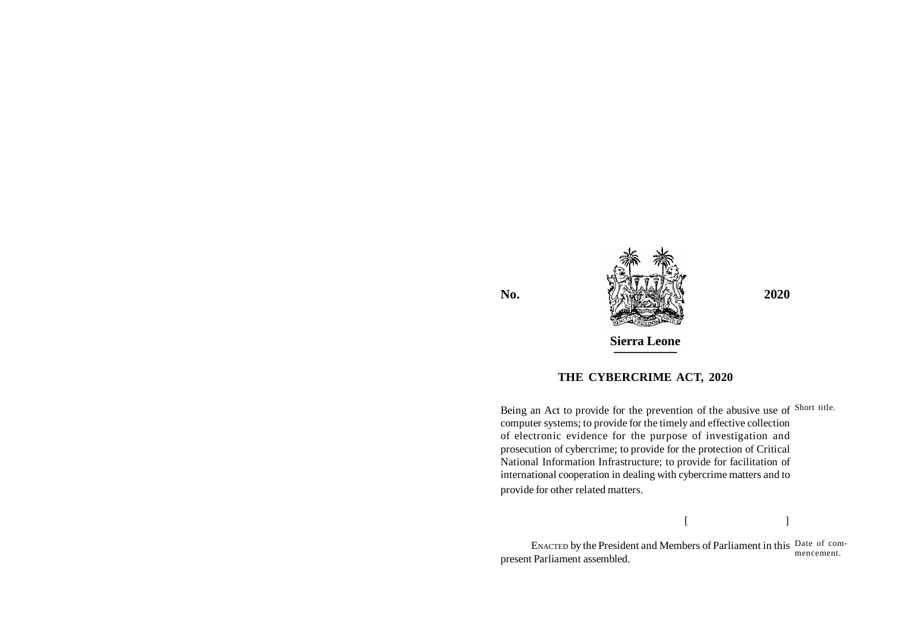

# **THE CYBERCRIME ACT, 2020**

Being an Act to provide for the prevention of the abusive use of Short title. computer systems; to provide for the timely and effective collection of electronic evidence for the purpose of investigation and prosecution of cybercrime; to provide for the protection of Critical National Information Infrastructure; to provide for facilitation of international cooperation in dealing with cybercrime matters and to provide for other related matters.

 $[$   $]$ 

ENACTED by the President and Members of Parliament in this Date of compresent Parliament assembled. mencement.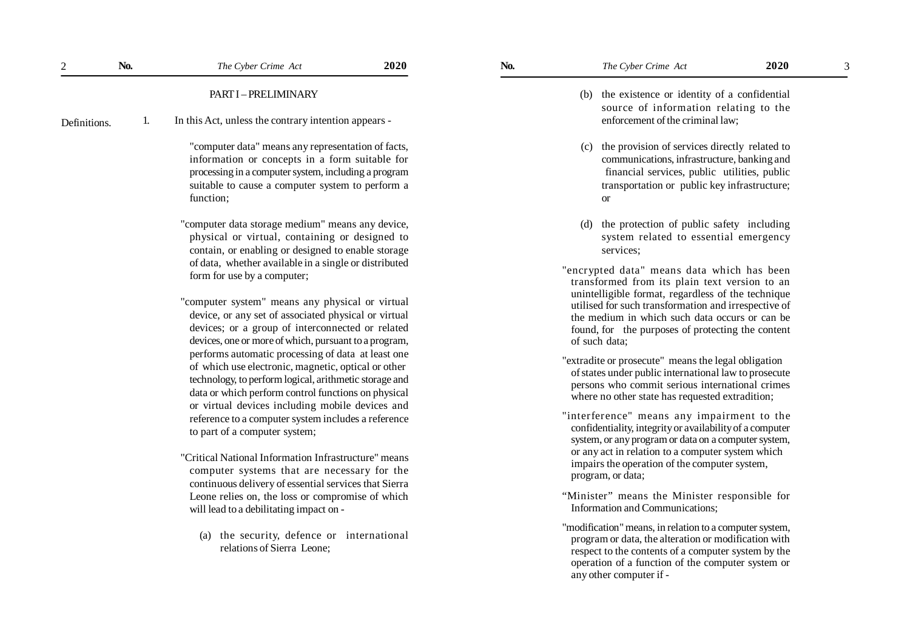|              |    | PART I - PRELIMINARY                                                                                                                                                                                                                                                                                                                                                                                                                                                                                                                                                                          |
|--------------|----|-----------------------------------------------------------------------------------------------------------------------------------------------------------------------------------------------------------------------------------------------------------------------------------------------------------------------------------------------------------------------------------------------------------------------------------------------------------------------------------------------------------------------------------------------------------------------------------------------|
| Definitions. | 1. | In this Act, unless the contrary intention appears -                                                                                                                                                                                                                                                                                                                                                                                                                                                                                                                                          |
|              |    | "computer data" means any representation of facts,<br>information or concepts in a form suitable for<br>processing in a computer system, including a program<br>suitable to cause a computer system to perform a<br>function;                                                                                                                                                                                                                                                                                                                                                                 |
|              |    | "computer data storage medium" means any device,<br>physical or virtual, containing or designed to<br>contain, or enabling or designed to enable storage<br>of data, whether available in a single or distributed<br>form for use by a computer;                                                                                                                                                                                                                                                                                                                                              |
|              |    | "computer system" means any physical or virtual<br>device, or any set of associated physical or virtual<br>devices; or a group of interconnected or related<br>devices, one or more of which, pursuant to a program,<br>performs automatic processing of data at least one<br>of which use electronic, magnetic, optical or other<br>technology, to perform logical, arithmetic storage and<br>data or which perform control functions on physical<br>or virtual devices including mobile devices and<br>reference to a computer system includes a reference<br>to part of a computer system; |
|              |    | "Critical National Information Infrastructure" means<br>computer systems that are necessary for the<br>continuous delivery of essential services that Sierra<br>Leone relies on, the loss or compromise of which<br>will lead to a debilitating impact on -                                                                                                                                                                                                                                                                                                                                   |

2

(a) the security, defence or international relations of Sierra Leone;

- 
- (b) the existence or identity of a confidential source of information relating to the enforcement of the criminal law;
- (c) the provision of services directly related to communications, infrastructure, banking and financial services, public utilities, public transportation or public key infrastructure; or
- (d) the protection of public safety including system related to essential emergency services;
- "encrypted data" means data which has been transformed from its plain text version to an unintelligible format, regardless of the technique utilised for such transformation and irrespective of the medium in which such data occurs or can be found, for the purposes of protecting the content of such data;
- "extradite or prosecute" means the legal obligation of states under public international law to prosecute persons who commit serious international crimes where no other state has requested extradition;
- "interference" means any impairment to the confidentiality, integrity or availability of a computer system, or any program or data on a computer system, or any act in relation to a computer system which impairs the operation of the computer system, program, or data;
- "Minister" means the Minister responsible for Information and Communications;
- "modification" means, in relation to a computer system, program or data, the alteration or modification with respect to the contents of a computer system by the operation of a function of the computer system or any other computer if -

3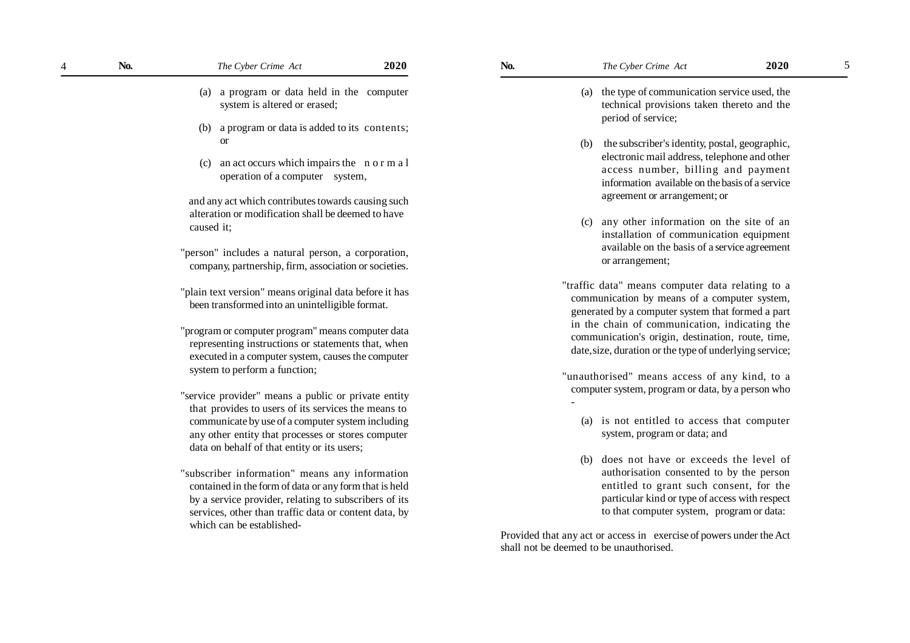| No.<br>4 |            | The Cyber Crime Act                                                                                                                                                                                                                                                  | <b>2020</b> |
|----------|------------|----------------------------------------------------------------------------------------------------------------------------------------------------------------------------------------------------------------------------------------------------------------------|-------------|
|          | (a)        | a program or data held in the<br>system is altered or erased;                                                                                                                                                                                                        | computer    |
|          | (b)        | a program or data is added to its contents;<br><b>or</b>                                                                                                                                                                                                             |             |
|          | (c)        | an act occurs which impairs the n o r m a l<br>operation of a computer<br>system,                                                                                                                                                                                    |             |
|          | caused it; | and any act which contributes towards causing such<br>alteration or modification shall be deemed to have                                                                                                                                                             |             |
|          |            | "person" includes a natural person, a corporation,<br>company, partnership, firm, association or societies.                                                                                                                                                          |             |
|          |            | "plain text version" means original data before it has<br>been transformed into an unintelligible format.                                                                                                                                                            |             |
|          |            | "program or computer program" means computer data<br>representing instructions or statements that, when<br>executed in a computer system, causes the computer<br>system to perform a function;                                                                       |             |
|          |            | "service provider" means a public or private entity<br>that provides to users of its services the means to<br>communicate by use of a computer system including<br>any other entity that processes or stores computer<br>data on behalf of that entity or its users; |             |
|          |            | "subscriber information" means any information<br>contained in the form of data or any form that is held<br>by a service provider, relating to subscribers of its<br>services, other than traffic data or content data, by<br>which can be established-              |             |

5

- (a) the type of communication service used, the technical provisions taken thereto and the period of service;
- (b) the subscriber's identity, postal, geographic, electronic mail address, telephone and other access number, billing and payment information available on the basis of a service agreement or arrangement; or
- (c) any other information on the site of an installation of communication equipment available on the basis of a service agreement or arrangement;
- "traffic data" means computer data relating to a communication by means of a computer system, generated by a computer system that formed a part in the chain of communication, indicating the communication's origin, destination, route, time, date, size, duration or the type of underlying service;
- "unauthorised" means access of any kind, to a computer system, program or data, by a person who
	- (a) is not entitled to access that computer system, program or data; and
	- (b) does not have or exceeds the level of authorisation consented to by the person entitled to grant such consent, for the particular kind or type of access with respect to that computer system, program or data:

Provided that any act or access in exercise of powers under the Act shall not be deemed to be unauthorised.

-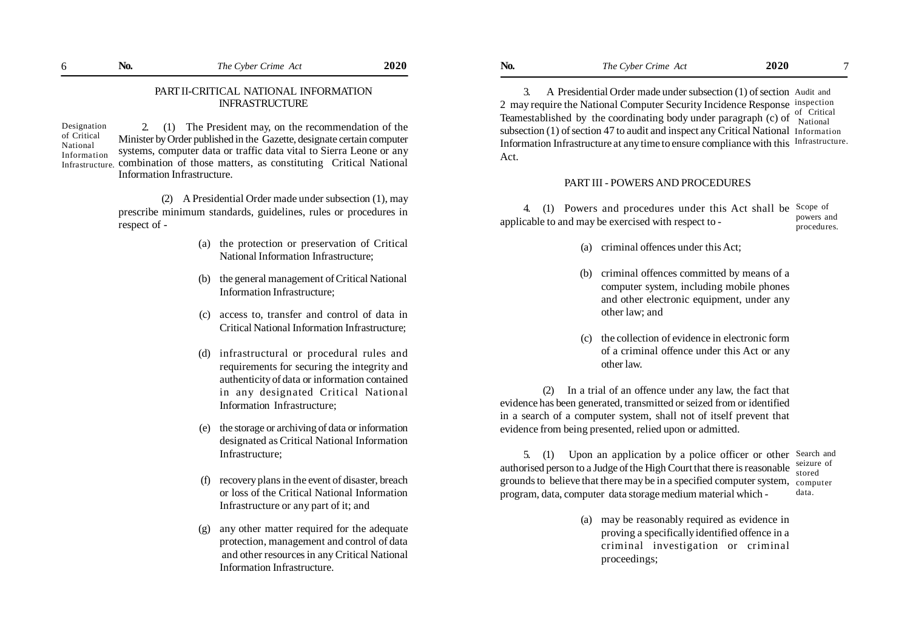#### PART II-CRITICAL NATIONAL INFORMATION INFRASTRUCTURE

Designation of Critical National Information Infrastructure.

2. (1) The President may, on the recommendation of the Minister by Order published in the Gazette, designate certain computer systems, computer data or traffic data vital to Sierra Leone or any combination of those matters, as constituting Critical National Information Infrastructure.

(2) A Presidential Order made under subsection (1), may prescribe minimum standards, guidelines, rules or procedures in respect of -

- (a) the protection or preservation of Critical National Information Infrastructure;
- (b) the general management of Critical National Information Infrastructure;
- (c) access to, transfer and control of data in Critical National Information Infrastructure;
- (d) infrastructural or procedural rules and requirements for securing the integrity and authenticity of data or information contained in any designated Critical National Information Infrastructure;
- (e) the storage or archiving of data or information designated as Critical National Information Infrastructure;
- (f) recovery plans in the event of disaster, breach or loss of the Critical National Information Infrastructure or any part of it; and
- (g) any other matter required for the adequate protection, management and control of data and other resources in any Critical National Information Infrastructure.

3. A Presidential Order made under subsection (1) of section Audit and 2 may require the National Computer Security Incidence Response inspection Teamestablished by the coordinating body under paragraph (c) of  $\frac{1}{\text{National}}$  respectively. subsection (1) of section 47 to audit and inspect any Critical National Information Information Infrastructure at any time to ensure compliance with this Infrastructure. Act. National

#### PART III - POWERS AND PROCEDURES

4. (1) Powers and procedures under this Act shall be Scope of applicable to and may be exercised with respect to powers and procedures.

- (a) criminal offences under this Act;
- (b) criminal offences committed by means of a computer system, including mobile phones and other electronic equipment, under any other law; and
- (c) the collection of evidence in electronic form of a criminal offence under this Act or any other law.

(2) In a trial of an offence under any law, the fact that evidence has been generated, transmitted or seized from or identified in a search of a computer system, shall not of itself prevent that evidence from being presented, relied upon or admitted.

5. (1) Upon an application by a police officer or other Search and authorised person to a Judge of the High Court that there is reasonable grounds to believe that there may be in a specified computer system, program, data, computer data storage medium material which seizure of stored computer data.

> (a) may be reasonably required as evidence in proving a specifically identified offence in a criminal investigation or criminal proceedings;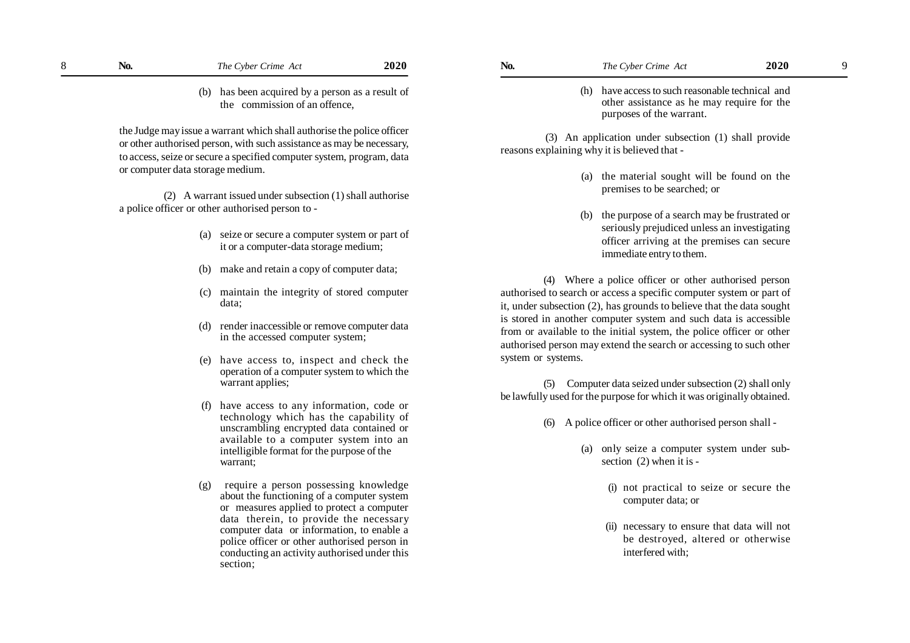the Judge may issue a warrant which shall authorise the police officer or other authorised person, with such assistance as may be necessary, to access, seize or secure a specified computer system, program, data or computer data storage medium.

 (2) A warrant issued under subsection (1) shall authorise a police officer or other authorised person to -

- (a) seize or secure a computer system or part of it or a computer-data storage medium;
- (b) make and retain a copy of computer data;
- (c) maintain the integrity of stored computer data;
- (d) render inaccessible or remove computer data in the accessed computer system;
- (e) have access to, inspect and check the operation of a computer system to which the warrant applies;
- (f) have access to any information, code or technology which has the capability of unscrambling encrypted data contained or available to a computer system into an intelligible format for the purpose of the warrant;
- (g) require a person possessing knowledge about the functioning of a computer system or measures applied to protect a computer data therein, to provide the necessary computer data or information, to enable a police officer or other authorised person in conducting an activity authorised under this section;

(h) have access to such reasonable technical and other assistance as he may require for the purposes of the warrant.

 (3) An application under subsection (1) shall provide reasons explaining why it is believed that -

- (a) the material sought will be found on the premises to be searched; or
- (b) the purpose of a search may be frustrated or seriously prejudiced unless an investigating officer arriving at the premises can secure immediate entry to them.

(4) Where a police officer or other authorised person authorised to search or access a specific computer system or part of it, under subsection (2), has grounds to believe that the data sought is stored in another computer system and such data is accessible from or available to the initial system, the police officer or other authorised person may extend the search or accessing to such other system or systems.

(5) Computer data seized under subsection (2) shall only be lawfully used for the purpose for which it was originally obtained.

- (6) A police officer or other authorised person shall
	- (a) only seize a computer system under subsection (2) when it is -
		- (i) not practical to seize or secure the computer data; or
		- (ii) necessary to ensure that data will not be destroyed, altered or otherwise interfered with;

9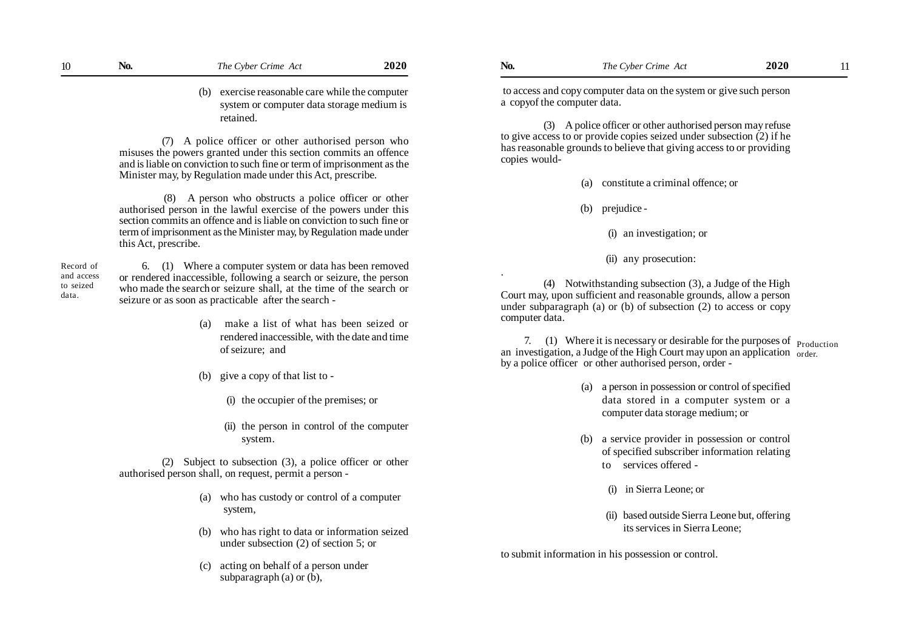(b) exercise reasonable care while the computer system or computer data storage medium is retained.

(7) A police officer or other authorised person who misuses the powers granted under this section commits an offence and is liable on conviction to such fine or term of imprisonment as the Minister may, by Regulation made under this Act, prescribe.

 (8) A person who obstructs a police officer or other authorised person in the lawful exercise of the powers under this section commits an offence and is liable on conviction to such fine or term of imprisonment as the Minister may, by Regulation made under this Act, prescribe.

Record of and access to seized data.

 6. (1) Where a computer system or data has been removed or rendered inaccessible, following a search or seizure, the person who made the searchor seizure shall, at the time of the search or seizure or as soon as practicable after the search -

- (a) make a list of what has been seized or rendered inaccessible, with the date and time of seizure; and
- (b) give a copy of that list to
	- (i) the occupier of the premises; or
	- (ii) the person in control of the computer system.

(2) Subject to subsection (3), a police officer or other authorised person shall, on request, permit a person -

- (a) who has custody or control of a computer system,
- (b) who has right to data or information seized under subsection (2) of section 5; or
- (c) acting on behalf of a person under subparagraph (a) or  $(b)$ ,

 to access and copy computer data on the system or give such person a copyof the computer data.

(3) A police officer or other authorised person may refuse to give access to or provide copies seized under subsection (2) if he has reasonable grounds to believe that giving access to or providing copies would-

(a) constitute a criminal offence; or

(b) prejudice -

(i) an investigation; or

(ii) any prosecution:

. (4) Notwithstanding subsection (3), a Judge of the High Court may, upon sufficient and reasonable grounds, allow a person under subparagraph (a) or (b) of subsection (2) to access or copy computer data.

7. (1) Where it is necessary or desirable for the purposes of  $_{\text{Production}}$ an investigation, a Judge of the High Court may upon an application <sub>order.</sub> by a police officer or other authorised person, order -

- (a) a person in possession or control of specified data stored in a computer system or a computer data storage medium; or
- (b) a service provider in possession or control of specified subscriber information relating to services offered -
	- (i) in Sierra Leone; or
	- (ii) based outside Sierra Leone but, offering its services in Sierra Leone;

to submit information in his possession or control.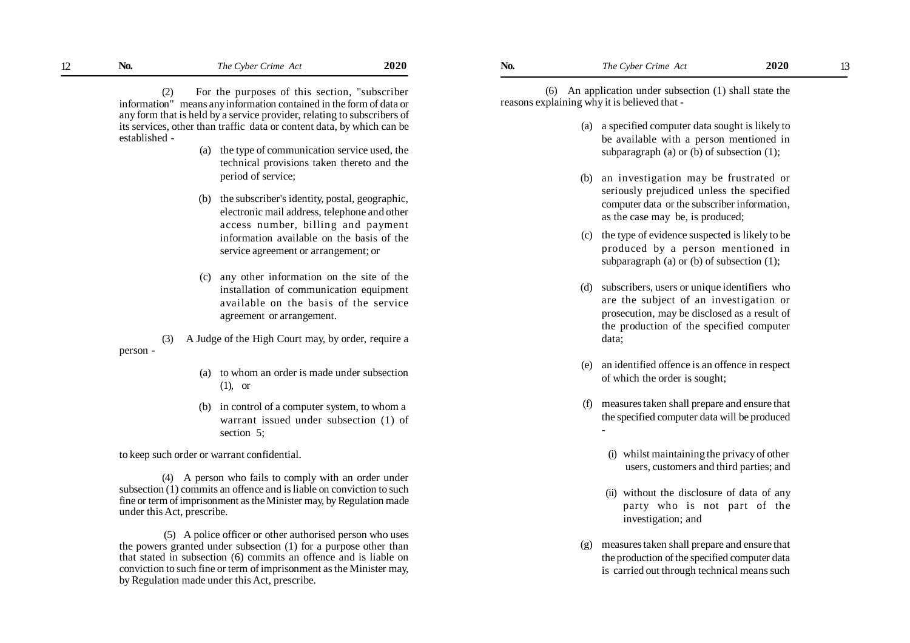(2) For the purposes of this section, "subscriber information" means any information contained in the form of data or any form that is held by a service provider, relating to subscribers of its services, other than traffic data or content data, by which can be established -

- (a) the type of communication service used, the technical provisions taken thereto and the period of service;
- (b) the subscriber's identity, postal, geographic, electronic mail address, telephone and other access number, billing and payment information available on the basis of the service agreement or arrangement; or
- (c) any other information on the site of the installation of communication equipment available on the basis of the service agreement or arrangement.

(3) A Judge of the High Court may, by order, require a person -

- (a) to whom an order is made under subsection (1), or
- (b) in control of a computer system, to whom a warrant issued under subsection (1) of section 5;

to keep such order or warrant confidential.

(4) A person who fails to comply with an order under subsection (1) commits an offence and is liable on conviction to such fine or term of imprisonment as the Minister may, by Regulation made under this Act, prescribe.

 (5) A police officer or other authorised person who uses the powers granted under subsection (1) for a purpose other than that stated in subsection (6) commits an offence and is liable on conviction to such fine or term of imprisonment as the Minister may, by Regulation made under this Act, prescribe.

 (6) An application under subsection (1) shall state the reasons explaining why it is believed that -

- (a) a specified computer data sought is likely to be available with a person mentioned in subparagraph (a) or (b) of subsection (1);
- (b) an investigation may be frustrated or seriously prejudiced unless the specified computer data or the subscriber information, as the case may be, is produced;
- (c) the type of evidence suspected is likely to be produced by a person mentioned in subparagraph (a) or (b) of subsection (1);
- (d) subscribers, users or unique identifiers who are the subject of an investigation or prosecution, may be disclosed as a result of the production of the specified computer data;
- (e) an identified offence is an offence in respect of which the order is sought;
- (f) measures taken shall prepare and ensure that the specified computer data will be produced

-

- (i) whilst maintaining the privacy of other users, customers and third parties; and
- (ii) without the disclosure of data of any party who is not part of the investigation; and
- (g) measures taken shall prepare and ensure that the production of the specified computer data is carried out through technical means such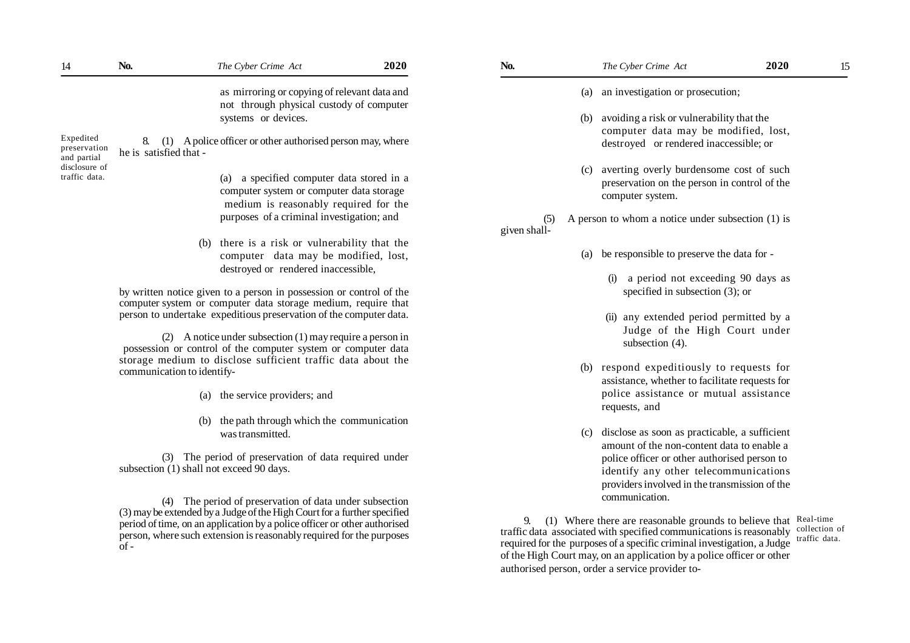| 14                                       | No.                                                                                                                                                                                                                                                                                              | The Cyber Crime Act                                                                                                                  | 2020 | No.                 | The Cyber Crime Act                                                                                                                                                                                                                                                                                                                                              | 2020 | 15                             |
|------------------------------------------|--------------------------------------------------------------------------------------------------------------------------------------------------------------------------------------------------------------------------------------------------------------------------------------------------|--------------------------------------------------------------------------------------------------------------------------------------|------|---------------------|------------------------------------------------------------------------------------------------------------------------------------------------------------------------------------------------------------------------------------------------------------------------------------------------------------------------------------------------------------------|------|--------------------------------|
|                                          |                                                                                                                                                                                                                                                                                                  | as mirroring or copying of relevant data and<br>not through physical custody of computer                                             |      |                     | (a) an investigation or prosecution;                                                                                                                                                                                                                                                                                                                             |      |                                |
|                                          |                                                                                                                                                                                                                                                                                                  | systems or devices.                                                                                                                  |      |                     | (b) avoiding a risk or vulnerability that the<br>computer data may be modified, lost,                                                                                                                                                                                                                                                                            |      |                                |
| Expedited<br>preservation<br>and partial | 8.<br>he is satisfied that -                                                                                                                                                                                                                                                                     | (1) A police officer or other authorised person may, where                                                                           |      |                     | destroyed or rendered inaccessible; or                                                                                                                                                                                                                                                                                                                           |      |                                |
| disclosure of<br>traffic data.           |                                                                                                                                                                                                                                                                                                  | (a) a specified computer data stored in a<br>computer system or computer data storage<br>medium is reasonably required for the       |      |                     | (c) averting overly burdensome cost of such<br>preservation on the person in control of the<br>computer system.                                                                                                                                                                                                                                                  |      |                                |
|                                          |                                                                                                                                                                                                                                                                                                  | purposes of a criminal investigation; and                                                                                            |      | (5)<br>given shall- | A person to whom a notice under subsection $(1)$ is                                                                                                                                                                                                                                                                                                              |      |                                |
|                                          |                                                                                                                                                                                                                                                                                                  | (b) there is a risk or vulnerability that the<br>computer data may be modified, lost,<br>destroyed or rendered inaccessible,         |      |                     | (a) be responsible to preserve the data for -                                                                                                                                                                                                                                                                                                                    |      |                                |
|                                          |                                                                                                                                                                                                                                                                                                  | by written notice given to a person in possession or control of the<br>computer system or computer data storage medium, require that |      |                     | a period not exceeding 90 days as<br>specified in subsection $(3)$ ; or                                                                                                                                                                                                                                                                                          |      |                                |
|                                          |                                                                                                                                                                                                                                                                                                  | person to undertake expeditious preservation of the computer data.<br>(2) A notice under subsection $(1)$ may require a person in    |      |                     | (ii) any extended period permitted by a<br>Judge of the High Court under                                                                                                                                                                                                                                                                                         |      |                                |
|                                          |                                                                                                                                                                                                                                                                                                  | possession or control of the computer system or computer data<br>storage medium to disclose sufficient traffic data about the        |      |                     | subsection (4).<br>(b) respond expeditiously to requests for                                                                                                                                                                                                                                                                                                     |      |                                |
|                                          | communication to identify-                                                                                                                                                                                                                                                                       | (a) the service providers; and                                                                                                       |      |                     | assistance, whether to facilitate requests for<br>police assistance or mutual assistance                                                                                                                                                                                                                                                                         |      |                                |
|                                          |                                                                                                                                                                                                                                                                                                  | (b) the path through which the communication                                                                                         |      |                     | requests, and<br>(c) disclose as soon as practicable, a sufficient                                                                                                                                                                                                                                                                                               |      |                                |
|                                          |                                                                                                                                                                                                                                                                                                  | was transmitted.<br>(3) The period of preservation of data required under                                                            |      |                     | amount of the non-content data to enable a<br>police officer or other authorised person to                                                                                                                                                                                                                                                                       |      |                                |
|                                          | subsection (1) shall not exceed 90 days.                                                                                                                                                                                                                                                         |                                                                                                                                      |      |                     | identify any other telecommunications<br>providers involved in the transmission of the                                                                                                                                                                                                                                                                           |      |                                |
|                                          | (4) The period of preservation of data under subsection<br>(3) may be extended by a Judge of the High Court for a further specified<br>period of time, on an application by a police officer or other authorised<br>person, where such extension is reasonably required for the purposes<br>of - |                                                                                                                                      |      | 9.                  | communication.<br>(1) Where there are reasonable grounds to believe that Real-time<br>traffic data associated with specified communications is reasonably<br>required for the purposes of a specific criminal investigation, a Judge<br>of the High Court may, on an application by a police officer or other<br>authorised person, order a service provider to- |      | collection of<br>traffic data. |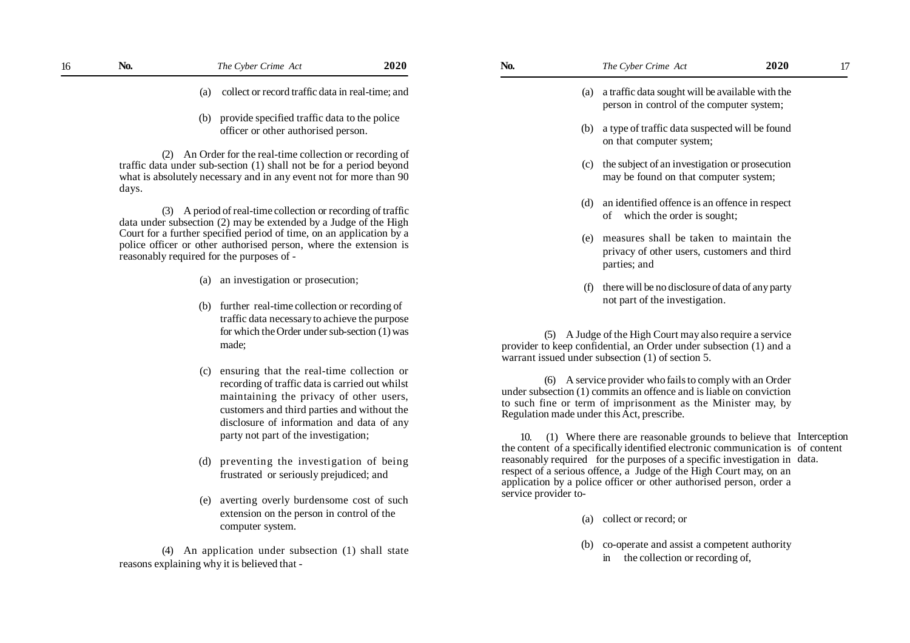- (a) collect or record traffic data in real-time; and
- (b) provide specified traffic data to the police officer or other authorised person.

(2) An Order for the real-time collection or recording of traffic data under sub-section (1) shall not be for a period beyond what is absolutely necessary and in any event not for more than 90 days.

(3) A period of real-time collection or recording of traffic data under subsection (2) may be extended by a Judge of the High Court for a further specified period of time, on an application by a police officer or other authorised person, where the extension is reasonably required for the purposes of -

- (a) an investigation or prosecution;
- (b) further real-time collection or recording of traffic data necessary to achieve the purpose for which the Order under sub-section (1) was made;
- (c) ensuring that the real-time collection or recording of traffic data is carried out whilst maintaining the privacy of other users, customers and third parties and without the disclosure of information and data of any party not part of the investigation;
- (d) preventing the investigation of being frustrated or seriously prejudiced; and
- (e) averting overly burdensome cost of such extension on the person in control of the computer system.

(4) An application under subsection (1) shall state reasons explaining why it is believed that -

- (a) a traffic data sought will be available with the person in control of the computer system;
- (b) a type of traffic data suspected will be found on that computer system;
- (c) the subject of an investigation or prosecution may be found on that computer system;
- (d) an identified offence is an offence in respect of which the order is sought;
- (e) measures shall be taken to maintain the privacy of other users, customers and third parties; and
- (f) there will be no disclosure of data of any party not part of the investigation.

(5) A Judge of the High Court may also require a service provider to keep confidential, an Order under subsection (1) and a warrant issued under subsection (1) of section 5.

(6) A service provider who fails to comply with an Order under subsection (1) commits an offence and is liable on conviction to such fine or term of imprisonment as the Minister may, by Regulation made under this Act, prescribe.

10. (1) Where there are reasonable grounds to believe that Interception the content of a specifically identified electronic communication is of content reasonably required for the purposes of a specific investigation in data. respect of a serious offence, a Judge of the High Court may, on an application by a police officer or other authorised person, order a service provider to-

- (a) collect or record; or
- (b) co-operate and assist a competent authority in the collection or recording of,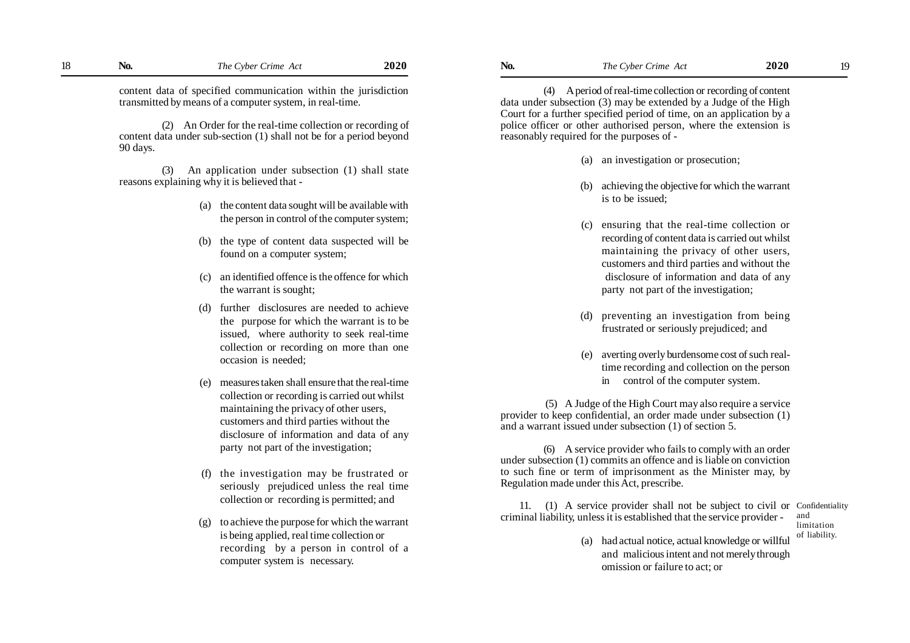(2) An Order for the real-time collection or recording of content data under sub-section (1) shall not be for a period beyond 90 days.

(3) An application under subsection (1) shall state reasons explaining why it is believed that -

- (a) the content data sought will be available with the person in control of the computer system;
- (b) the type of content data suspected will be found on a computer system;
- (c) an identified offence is the offence for which the warrant is sought;
- (d) further disclosures are needed to achieve the purpose for which the warrant is to be issued, where authority to seek real-time collection or recording on more than one occasion is needed;
- (e) measures taken shall ensure that the real-time collection or recording is carried out whilst maintaining the privacy of other users, customers and third parties without the disclosure of information and data of any party not part of the investigation;
- (f) the investigation may be frustrated or seriously prejudiced unless the real time collection or recording is permitted; and
- (g) to achieve the purpose for which the warrant is being applied, real time collection or recording by a person in control of a computer system is necessary.

(4) A period of real-time collection or recording of content data under subsection (3) may be extended by a Judge of the High Court for a further specified period of time, on an application by a police officer or other authorised person, where the extension is reasonably required for the purposes of -

- (a) an investigation or prosecution;
- (b) achieving the objective for which the warrant is to be issued;
- (c) ensuring that the real-time collection or recording of content data is carried out whilst maintaining the privacy of other users, customers and third parties and without the disclosure of information and data of any party not part of the investigation;
- (d) preventing an investigation from being frustrated or seriously prejudiced; and
- (e) averting overly burdensome cost of such realtime recording and collection on the person in control of the computer system.

 (5) A Judge of the High Court may also require a service provider to keep confidential, an order made under subsection (1) and a warrant issued under subsection (1) of section 5.

(6) A service provider who fails to comply with an order under subsection (1) commits an offence and is liable on conviction to such fine or term of imprisonment as the Minister may, by Regulation made under this Act, prescribe.

11. (1) A service provider shall not be subject to civil or Confidentiality criminal liability, unless it is established that the service provider and

- limitation of liability.
- (a) had actual notice, actual knowledge or willful and malicious intent and not merely through omission or failure to act; or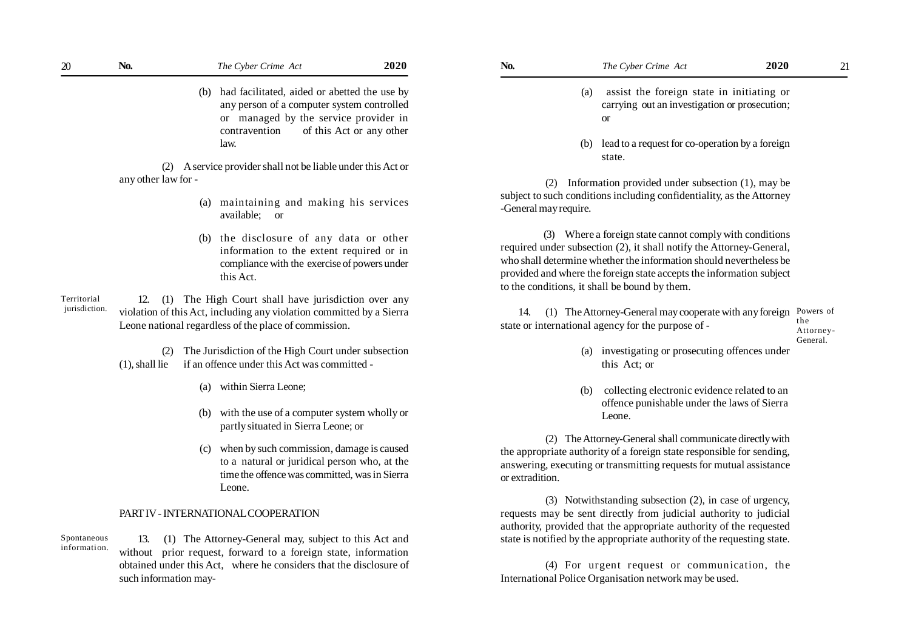| N <sub>0</sub> | The Cyber Crime Act                                                                                                                     | <b>2020</b>              | No. | The Cyber Crime Act                                                                               | 2020 | 21 |
|----------------|-----------------------------------------------------------------------------------------------------------------------------------------|--------------------------|-----|---------------------------------------------------------------------------------------------------|------|----|
|                | (b) had facilitated, aided or abetted the use by<br>any person of a computer system controlled<br>or managed by the service provider in |                          |     | assist the foreign state in initiating or<br>(a)<br>carrying out an investigation or prosecution; |      |    |
|                | contravention                                                                                                                           | of this Act or any other |     |                                                                                                   |      |    |

law.

(2) A service provider shall not be liable under this Act or any other law for -

- (a) maintaining and making his services available; or
- (b) the disclosure of any data or other information to the extent required or in compliance with the exercise of powers under this Act.

12. (1) The High Court shall have jurisdiction over any violation of this Act, including any violation committed by a Sierra Leone national regardless of the place of commission. Territorial jurisdiction.

> (2) The Jurisdiction of the High Court under subsection (1), shall lie if an offence under this Act was committed -

- (a) within Sierra Leone;
- (b) with the use of a computer system wholly or partly situated in Sierra Leone; or
- (c) when by such commission, damage is caused to a natural or juridical person who, at the time the offence was committed, was in Sierra Leone.

#### PART IV - INTERNATIONAL COOPERATION

Spontaneous information.

13. (1) The Attorney-General may, subject to this Act and without prior request, forward to a foreign state, information obtained under this Act, where he considers that the disclosure of such information may-

- (a) assist the foreign state in initiating or carrying out an investigation or prosecution; or
- (b) lead to a request for co-operation by a foreign state.

 (2) Information provided under subsection (1), may be subject to such conditions including confidentiality, as the Attorney -General may require.

(3) Where a foreign state cannot comply with conditions required under subsection (2), it shall notify the Attorney-General, who shall determine whether the information should nevertheless be provided and where the foreign state accepts the information subject to the conditions, it shall be bound by them.

 14. (1) The Attorney-General may cooperate with any foreign Powers of state or international agency for the purpose of the Attorney-

General.

- (a) investigating or prosecuting offences under this Act; or
- (b) collecting electronic evidence related to an offence punishable under the laws of Sierra Leone.

 (2) The Attorney-General shall communicate directly with the appropriate authority of a foreign state responsible for sending, answering, executing or transmitting requests for mutual assistance or extradition.

 (3) Notwithstanding subsection (2), in case of urgency, requests may be sent directly from judicial authority to judicial authority, provided that the appropriate authority of the requested state is notified by the appropriate authority of the requesting state.

 (4) For urgent request or communication, the International Police Organisation network may be used.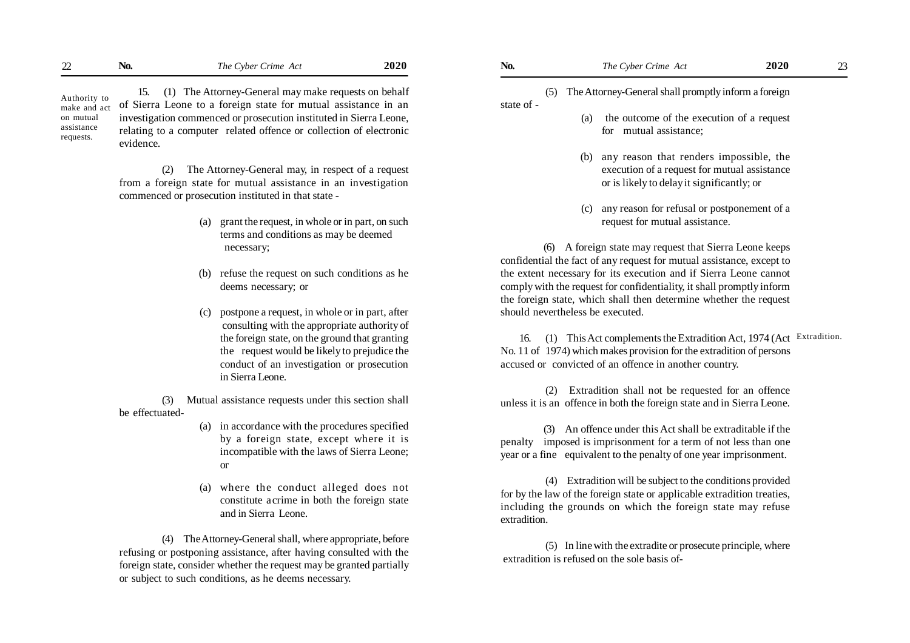| $\sim$<br>$\overline{\phantom{a}}$ | LVO. | Crime.<br>1 he<br>Ac<br>$v$ hor<br>$\rightarrow$ visc | 2020 | NO. | Crime<br>1 he<br>Cyper<br>ACI | 2020<br>$\sim$ $\sim$ |  |
|------------------------------------|------|-------------------------------------------------------|------|-----|-------------------------------|-----------------------|--|
|                                    |      |                                                       |      |     |                               |                       |  |

Authority to make and act on mutual assistance requests.

15. (1) The Attorney-General may make requests on behalf of Sierra Leone to a foreign state for mutual assistance in an investigation commenced or prosecution instituted in Sierra Leone, relating to a computer related offence or collection of electronic evidence.

(2) The Attorney-General may, in respect of a request from a foreign state for mutual assistance in an investigation commenced or prosecution instituted in that state -

- (a) grant the request, in whole or in part, on such terms and conditions as may be deemed necessary;
- (b) refuse the request on such conditions as he deems necessary; or
- (c) postpone a request, in whole or in part, after consulting with the appropriate authority of the foreign state, on the ground that granting the request would be likely to prejudice the conduct of an investigation or prosecution in Sierra Leone.

(3) Mutual assistance requests under this section shall be effectuated-

- (a) in accordance with the procedures specified by a foreign state, except where it is incompatible with the laws of Sierra Leone; or
- (a) where the conduct alleged does not constitute acrime in both the foreign state and in Sierra Leone.

(4) The Attorney-General shall, where appropriate, before refusing or postponing assistance, after having consulted with the foreign state, consider whether the request may be granted partially or subject to such conditions, as he deems necessary.

### (5) The Attorney-General shall promptly inform a foreign

state of -

(a) the outcome of the execution of a request for mutual assistance;

- (b) any reason that renders impossible, the execution of a request for mutual assistance or is likely to delay it significantly; or
- (c) any reason for refusal or postponement of a request for mutual assistance.

(6) A foreign state may request that Sierra Leone keeps confidential the fact of any request for mutual assistance, except to the extent necessary for its execution and if Sierra Leone cannot comply with the request for confidentiality, it shall promptly inform the foreign state, which shall then determine whether the request should nevertheless be executed.

16. (1) This Act complements the Extradition Act, 1974 (Act Extradition.No. 11 of 1974) which makes provision for the extradition of persons accused or convicted of an offence in another country.

 (2) Extradition shall not be requested for an offence unless it is an offence in both the foreign state and in Sierra Leone.

(3) An offence under this Act shall be extraditable if the penalty imposed is imprisonment for a term of not less than one year or a fine equivalent to the penalty of one year imprisonment.

 (4) Extradition will be subject to the conditions provided for by the law of the foreign state or applicable extradition treaties, including the grounds on which the foreign state may refuse extradition.

 (5) In line with the extradite or prosecute principle, where extradition is refused on the sole basis of-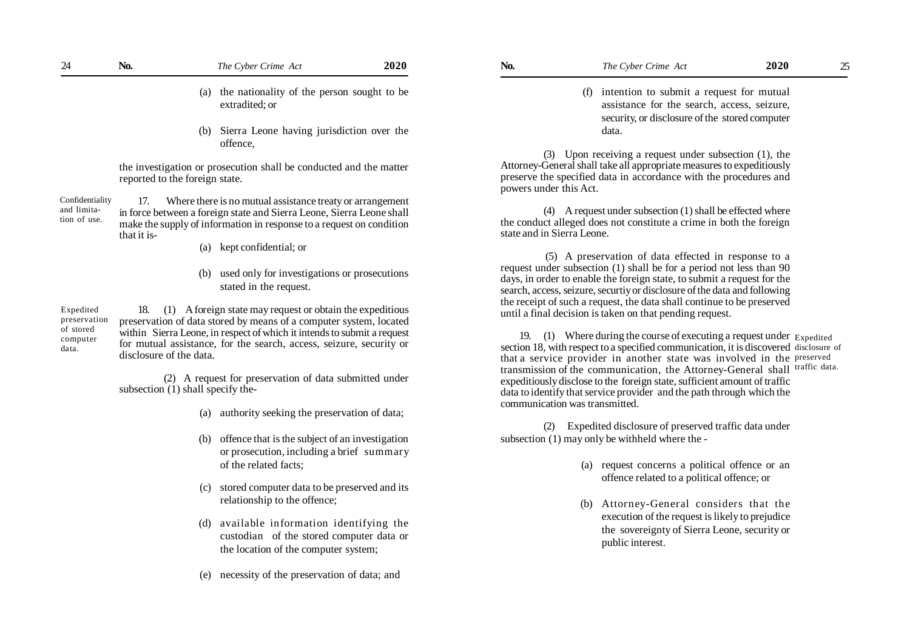| 24 | No. | The Cyber Crime Act                                                                                  | 2020 | No. | The Cyber Crime Act                                                                                                                                                                                 | 2020 | 25 |
|----|-----|------------------------------------------------------------------------------------------------------|------|-----|-----------------------------------------------------------------------------------------------------------------------------------------------------------------------------------------------------|------|----|
|    |     | (a) the nationality of the person sought to be<br>extradited: or                                     |      |     | (f) intention to submit a request for mutual<br>assistance for the search, access, seizure,<br>security, or disclosure of the stored computer                                                       |      |    |
|    |     | (b) Sierra Leone having jurisdiction over the<br>offence.                                            |      |     | data.                                                                                                                                                                                               |      |    |
|    |     | the investigation or prosecution shall be conducted and the matter<br>reported to the foreign state. |      | (3) | Upon receiving a request under subsection $(1)$ , the<br>Attorney-General shall take all appropriate measures to expeditiously<br>preserve the specified data in accordance with the procedures and |      |    |

17. Where there is no mutual assistance treaty or arrangement in force between a foreign state and Sierra Leone, Sierra Leone shall make the supply of information in response to a request on condition that it is- Confidentiality and limitation of use.

- (a) kept confidential; or
- (b) used only for investigations or prosecutions stated in the request.

18. (1) A foreign state may request or obtain the expeditious preservation of data stored by means of a computer system, located within Sierra Leone, in respect of which it intends to submit a request for mutual assistance, for the search, access, seizure, security or disclosure of the data. Expedited preservation of stored computer data.

> (2) A request for preservation of data submitted under subsection (1) shall specify the-

- (a) authority seeking the preservation of data;
- (b) offence that is the subject of an investigation or prosecution, including a brief summary of the related facts;
- (c) stored computer data to be preserved and its relationship to the offence;
- (d) available information identifying the custodian of the stored computer data or the location of the computer system;
- (e) necessity of the preservation of data; and

(3) Upon receiving a request under subsection (1), the Attorney-General shall take all appropriate measures to expeditiously preserve the specified data in accordance with the procedures and powers under this Act.

(4) A request under subsection (1) shall be effected where the conduct alleged does not constitute a crime in both the foreign state and in Sierra Leone.

 (5) A preservation of data effected in response to a request under subsection (1) shall be for a period not less than 90 days, in order to enable the foreign state, to submit a request for the search, access, seizure, securtiy or disclosure of the data and following the receipt of such a request, the data shall continue to be preserved until a final decision is taken on that pending request.

19. (1) Where during the course of executing a request under  $E_{\text{Xpedited}}$ section 18, with respect to a specified communication, it is discovered disclosure of that a service provider in another state was involved in the preserved transmission of the communication, the Attorney-General shall traffic data. expeditiously disclose to the foreign state, sufficient amount of traffic data to identify that service provider and the path through which the communication was transmitted.

(2) Expedited disclosure of preserved traffic data under subsection (1) may only be withheld where the -

- (a) request concerns a political offence or an offence related to a political offence; or
- (b) Attorney-General considers that the execution of the request is likely to prejudice the sovereignty of Sierra Leone, security or public interest.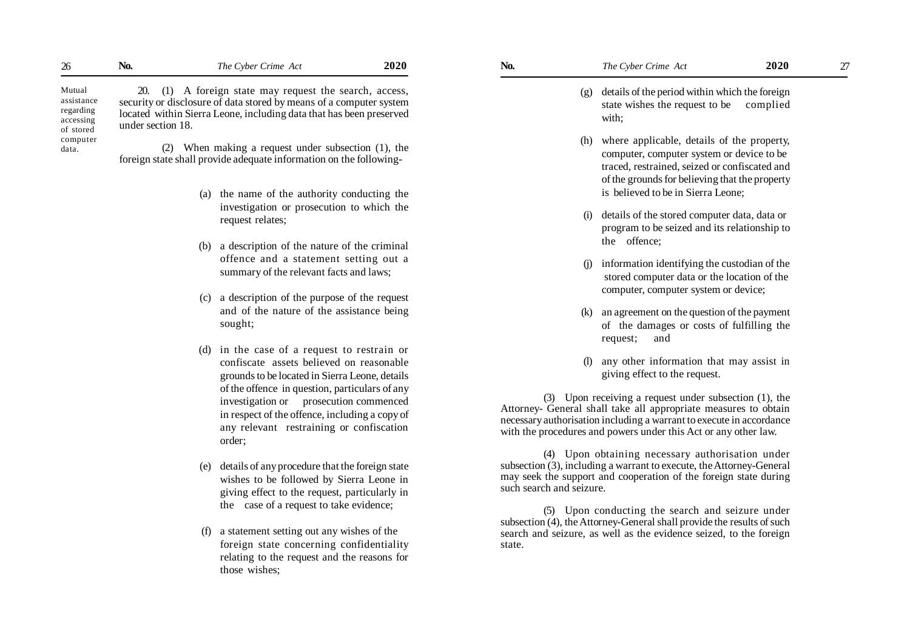| 26                                                          | N <sub>0</sub> .  | The Cyber Crime Act                                                                                                                                                                                   | 2020 | No. | The Cyber Crime Act                                                                                    | 2020 | 27 |
|-------------------------------------------------------------|-------------------|-------------------------------------------------------------------------------------------------------------------------------------------------------------------------------------------------------|------|-----|--------------------------------------------------------------------------------------------------------|------|----|
| Mutual<br>assistance<br>regarding<br>accessing<br>of stored | under section 18. | 20. (1) A foreign state may request the search, access,<br>security or disclosure of data stored by means of a computer system<br>located within Sierra Leone, including data that has been preserved |      |     | (g) details of the period within which the foreign<br>state wishes the request to be complied<br>with: |      |    |
| computer<br>data.                                           | (2)               | When making a request under subsection (1), the<br>foreign state shall provide adequate information on the following-                                                                                 |      |     | (h) where applicable, details of the property,<br>computer, computer system or device to be<br>.       |      |    |

- (a) the name of the authority conducting the investigation or prosecution to which the request relates;
- (b) a description of the nature of the criminal offence and a statement setting out a summary of the relevant facts and laws;
- (c) a description of the purpose of the request and of the nature of the assistance being sought;
- (d) in the case of a request to restrain or confiscate assets believed on reasonable grounds to be located in Sierra Leone, details of the offence in question, particulars of any investigation or prosecution commenced in respect of the offence, including a copy of any relevant restraining or confiscation order;
- (e) details of any procedure that the foreign state wishes to be followed by Sierra Leone in giving effect to the request, particularly in the case of a request to take evidence;
- (f) a statement setting out any wishes of the foreign state concerning confidentiality relating to the request and the reasons for those wishes;

- (g) details of the period within which the foreign state wishes the request to be complied with;
- (h) where applicable, details of the property, computer, computer system or device to be traced, restrained, seized or confiscated and of the grounds for believing that the property is believed to be in Sierra Leone;
- (i) details of the stored computer data, data or program to be seized and its relationship to the offence;
- (j) information identifying the custodian of the stored computer data or the location of the computer, computer system or device;
- (k) an agreement on the question of the payment of the damages or costs of fulfilling the request; and
- (l) any other information that may assist in giving effect to the request.

(3) Upon receiving a request under subsection (1), the Attorney- General shall take all appropriate measures to obtain necessary authorisation including a warrant to execute in accordance with the procedures and powers under this Act or any other law.

(4) Upon obtaining necessary authorisation under subsection (3), including a warrant to execute, the Attorney-General may seek the support and cooperation of the foreign state during such search and seizure.

(5) Upon conducting the search and seizure under subsection (4), the Attorney-General shall provide the results of such search and seizure, as well as the evidence seized, to the foreign state.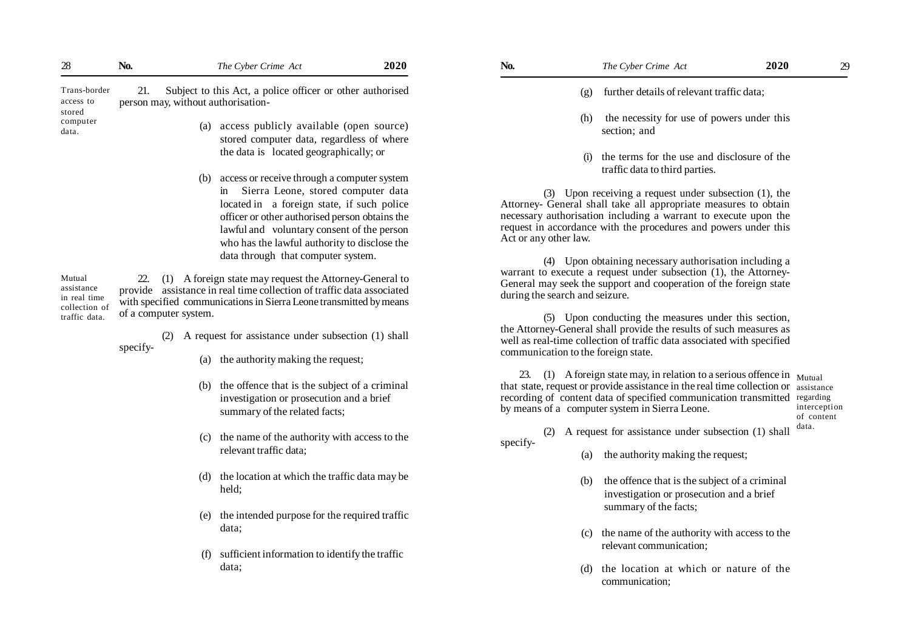| 28                                                                     | No.                                                    | 2020<br>The Cyber Crime Act                                                                                                                                                                                                                                                                                                                                                                                                                                                                                                                                                               | No.                                                     |            | The Cyber Crime Act                                                                                                                                                                                                                                                                                                                                                                                                                                                                                                                                                                                                                                                                                                                                      | 2020 | 29                                               |
|------------------------------------------------------------------------|--------------------------------------------------------|-------------------------------------------------------------------------------------------------------------------------------------------------------------------------------------------------------------------------------------------------------------------------------------------------------------------------------------------------------------------------------------------------------------------------------------------------------------------------------------------------------------------------------------------------------------------------------------------|---------------------------------------------------------|------------|----------------------------------------------------------------------------------------------------------------------------------------------------------------------------------------------------------------------------------------------------------------------------------------------------------------------------------------------------------------------------------------------------------------------------------------------------------------------------------------------------------------------------------------------------------------------------------------------------------------------------------------------------------------------------------------------------------------------------------------------------------|------|--------------------------------------------------|
| Trans-border<br>access to                                              | 21.<br>person may, without authorisation-              | Subject to this Act, a police officer or other authorised                                                                                                                                                                                                                                                                                                                                                                                                                                                                                                                                 |                                                         | (g)        | further details of relevant traffic data;                                                                                                                                                                                                                                                                                                                                                                                                                                                                                                                                                                                                                                                                                                                |      |                                                  |
| stored<br>computer<br>data.                                            |                                                        | (a) access publicly available (open source)<br>stored computer data, regardless of where<br>the data is located geographically; or                                                                                                                                                                                                                                                                                                                                                                                                                                                        |                                                         | (h)<br>(i) | the necessity for use of powers under this<br>section; and<br>the terms for the use and disclosure of the                                                                                                                                                                                                                                                                                                                                                                                                                                                                                                                                                                                                                                                |      |                                                  |
| Mutual<br>assistance<br>in real time<br>collection of<br>traffic data. | (b)<br>22.<br>of a computer system.<br>(2)<br>specify- | access or receive through a computer system<br>in Sierra Leone, stored computer data<br>located in a foreign state, if such police<br>officer or other authorised person obtains the<br>lawful and voluntary consent of the person<br>who has the lawful authority to disclose the<br>data through that computer system.<br>(1) A foreign state may request the Attorney-General to<br>provide assistance in real time collection of traffic data associated<br>with specified communications in Sierra Leone transmitted by means<br>A request for assistance under subsection (1) shall | Act or any other law.<br>during the search and seizure. |            | traffic data to third parties.<br>$(3)$ Upon receiving a request under subsection $(1)$ , the<br>Attorney- General shall take all appropriate measures to obtain<br>necessary authorisation including a warrant to execute upon the<br>request in accordance with the procedures and powers under this<br>(4) Upon obtaining necessary authorisation including a<br>warrant to execute a request under subsection (1), the Attorney-<br>General may seek the support and cooperation of the foreign state<br>(5) Upon conducting the measures under this section,<br>the Attorney-General shall provide the results of such measures as<br>well as real-time collection of traffic data associated with specified<br>communication to the foreign state. |      |                                                  |
|                                                                        | (c)                                                    | (a) the authority making the request;<br>(b) the offence that is the subject of a criminal<br>investigation or prosecution and a brief<br>summary of the related facts;<br>the name of the authority with access to the                                                                                                                                                                                                                                                                                                                                                                   | specify-                                                |            | 23. (1) A foreign state may, in relation to a serious offence in $_{\text{Mutual}}$<br>that state, request or provide assistance in the real time collection or assistance<br>recording of content data of specified communication transmitted<br>by means of a computer system in Sierra Leone.<br>(2) A request for assistance under subsection (1) shall                                                                                                                                                                                                                                                                                                                                                                                              |      | regarding<br>interception<br>of content<br>data. |
|                                                                        |                                                        | relevant traffic data;                                                                                                                                                                                                                                                                                                                                                                                                                                                                                                                                                                    |                                                         | (a)        | the authority making the request;                                                                                                                                                                                                                                                                                                                                                                                                                                                                                                                                                                                                                                                                                                                        |      |                                                  |
|                                                                        | (d)                                                    | the location at which the traffic data may be<br>held;                                                                                                                                                                                                                                                                                                                                                                                                                                                                                                                                    |                                                         | (b)        | the offence that is the subject of a criminal<br>investigation or prosecution and a brief                                                                                                                                                                                                                                                                                                                                                                                                                                                                                                                                                                                                                                                                |      |                                                  |
|                                                                        | (e)<br>(f)                                             | the intended purpose for the required traffic<br>data;<br>sufficient information to identify the traffic<br>data;                                                                                                                                                                                                                                                                                                                                                                                                                                                                         |                                                         |            | summary of the facts;<br>(c) the name of the authority with access to the<br>relevant communication;<br>the location at which or nature of the                                                                                                                                                                                                                                                                                                                                                                                                                                                                                                                                                                                                           |      |                                                  |
|                                                                        |                                                        |                                                                                                                                                                                                                                                                                                                                                                                                                                                                                                                                                                                           |                                                         |            | communication;                                                                                                                                                                                                                                                                                                                                                                                                                                                                                                                                                                                                                                                                                                                                           |      |                                                  |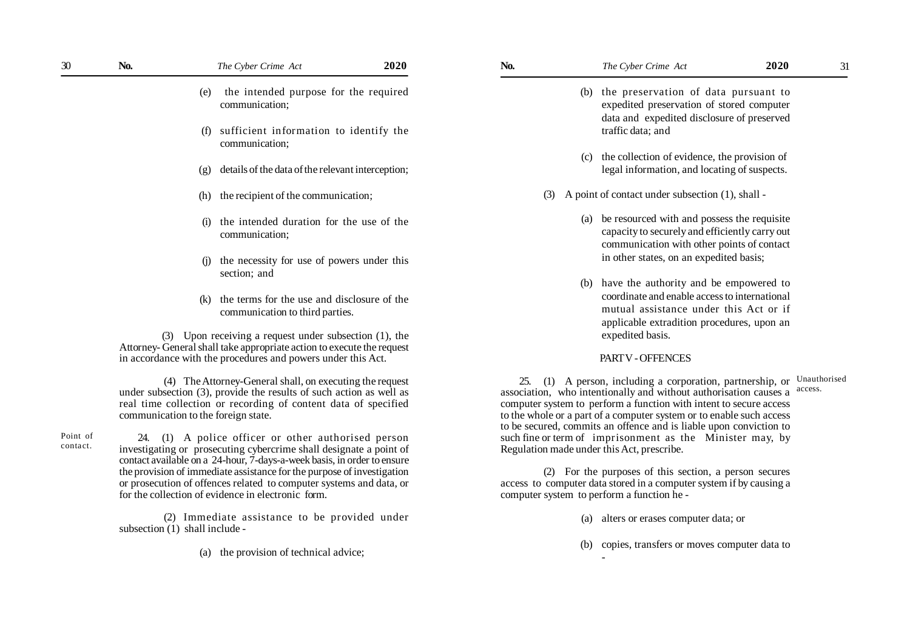| 30                   | No.                                                                                                                                                                                                                                                                            | The Cyber Crime Act                                                                                                             | 2020 | No.                                                                                                                                                                                                                                                                                                                                                    |                                                                                                                                     | The Cyber Crime Act                                                                                                                                                        | 2020 | 31                      |
|----------------------|--------------------------------------------------------------------------------------------------------------------------------------------------------------------------------------------------------------------------------------------------------------------------------|---------------------------------------------------------------------------------------------------------------------------------|------|--------------------------------------------------------------------------------------------------------------------------------------------------------------------------------------------------------------------------------------------------------------------------------------------------------------------------------------------------------|-------------------------------------------------------------------------------------------------------------------------------------|----------------------------------------------------------------------------------------------------------------------------------------------------------------------------|------|-------------------------|
|                      | (e)                                                                                                                                                                                                                                                                            | the intended purpose for the required<br>communication;                                                                         |      |                                                                                                                                                                                                                                                                                                                                                        | (b) the preservation of data pursuant to<br>expedited preservation of stored computer<br>data and expedited disclosure of preserved |                                                                                                                                                                            |      |                         |
|                      |                                                                                                                                                                                                                                                                                | (f) sufficient information to identify the<br>communication;                                                                    |      |                                                                                                                                                                                                                                                                                                                                                        |                                                                                                                                     | traffic data; and                                                                                                                                                          |      |                         |
|                      | (g)                                                                                                                                                                                                                                                                            | details of the data of the relevant interception;                                                                               |      |                                                                                                                                                                                                                                                                                                                                                        |                                                                                                                                     | (c) the collection of evidence, the provision of<br>legal information, and locating of suspects.                                                                           |      |                         |
|                      | (h)                                                                                                                                                                                                                                                                            | the recipient of the communication;                                                                                             |      | (3)                                                                                                                                                                                                                                                                                                                                                    | A point of contact under subsection (1), shall -                                                                                    |                                                                                                                                                                            |      |                         |
|                      | (i)                                                                                                                                                                                                                                                                            | the intended duration for the use of the<br>communication;                                                                      |      |                                                                                                                                                                                                                                                                                                                                                        |                                                                                                                                     | (a) be resourced with and possess the requisite<br>capacity to securely and efficiently carry out<br>communication with other points of contact                            |      |                         |
|                      | (i)                                                                                                                                                                                                                                                                            | the necessity for use of powers under this                                                                                      |      |                                                                                                                                                                                                                                                                                                                                                        |                                                                                                                                     | in other states, on an expedited basis;                                                                                                                                    |      |                         |
|                      | (k)                                                                                                                                                                                                                                                                            | section; and<br>the terms for the use and disclosure of the<br>communication to third parties.                                  |      | (b) have the authority and be empowered to<br>coordinate and enable access to international<br>mutual assistance under this Act or if<br>applicable extradition procedures, upon an                                                                                                                                                                    |                                                                                                                                     |                                                                                                                                                                            |      |                         |
|                      |                                                                                                                                                                                                                                                                                | (3) Upon receiving a request under subsection (1), the<br>Attorney-General shall take appropriate action to execute the request |      |                                                                                                                                                                                                                                                                                                                                                        |                                                                                                                                     | expedited basis.                                                                                                                                                           |      |                         |
|                      |                                                                                                                                                                                                                                                                                | in accordance with the procedures and powers under this Act.                                                                    |      |                                                                                                                                                                                                                                                                                                                                                        |                                                                                                                                     | PART V - OFFENCES                                                                                                                                                          |      |                         |
|                      | (4) The Attorney-General shall, on executing the request<br>under subsection (3), provide the results of such action as well as<br>real time collection or recording of content data of specified<br>communication to the foreign state.                                       |                                                                                                                                 |      | (1) A person, including a corporation, partnership, or<br>25.<br>association, who intentionally and without authorisation causes a<br>computer system to perform a function with intent to secure access<br>to the whole or a part of a computer system or to enable such access<br>to be secured, commits an offence and is liable upon conviction to |                                                                                                                                     |                                                                                                                                                                            |      | Unauthorised<br>access. |
| Point of<br>contact. |                                                                                                                                                                                                                                                                                | 24. (1) A police officer or other authorised person<br>investigating or prosecuting cybercrime shall designate a point of       |      |                                                                                                                                                                                                                                                                                                                                                        |                                                                                                                                     | such fine or term of imprisonment as the Minister may, by<br>Regulation made under this Act, prescribe.                                                                    |      |                         |
|                      | contact available on a 24-hour, 7-days-a-week basis, in order to ensure<br>the provision of immediate assistance for the purpose of investigation<br>or prosecution of offences related to computer systems and data, or<br>for the collection of evidence in electronic form. |                                                                                                                                 |      |                                                                                                                                                                                                                                                                                                                                                        |                                                                                                                                     | (2) For the purposes of this section, a person secures<br>access to computer data stored in a computer system if by causing a<br>computer system to perform a function he- |      |                         |
|                      | subsection (1) shall include -                                                                                                                                                                                                                                                 | (2) Immediate assistance to be provided under                                                                                   |      |                                                                                                                                                                                                                                                                                                                                                        | (a)                                                                                                                                 | alters or erases computer data; or                                                                                                                                         |      |                         |

(a) the provision of technical advice;

| (b) the preservation of data pursuant to   |
|--------------------------------------------|
| expedited preservation of stored computer  |
| data and expedited disclosure of preserved |
| traffic data; and                          |

- (c) the collection of evidence, the provision of legal information, and locating of suspects.
- (3) A point of contact under subsection (1), shall
	- (a) be resourced with and possess the requisite capacity to securely and efficiently carry out communication with other points of contact in other states, on an expedited basis;
	- (b) have the authority and be empowered to coordinate and enable access to international mutual assistance under this Act or if applicable extradition procedures, upon an expedited basis.

## PART V - OFFENCES

-

- (a) alters or erases computer data; or
- (b) copies, transfers or moves computer data to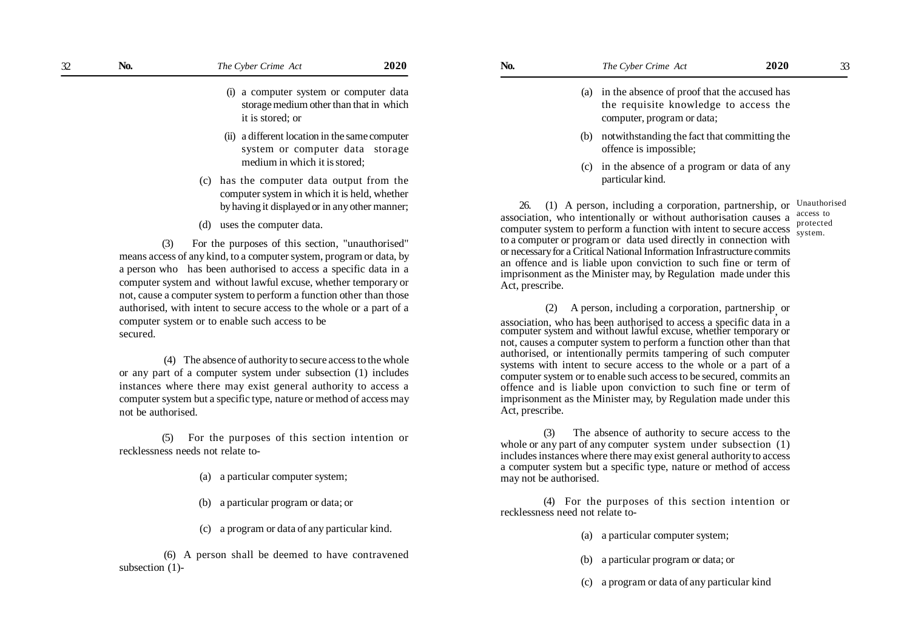- (i) a computer system or computer data storage medium other than that in which it is stored; or
- (ii) a different location in the same computer system or computer data storage medium in which it is stored;
- (c) has the computer data output from the computer system in which it is held, whether by having it displayed or in any other manner;
- (d) uses the computer data.

(3) For the purposes of this section, "unauthorised" means access of any kind, to a computer system, program or data, by a person who has been authorised to access a specific data in a computer system and without lawful excuse, whether temporary or not, cause a computer system to perform a function other than those authorised, with intent to secure access to the whole or a part of a computer system or to enable such access to be secured.

 (4) The absence of authority to secure access to the whole or any part of a computer system under subsection (1) includes instances where there may exist general authority to access a computer system but a specific type, nature or method of access may not be authorised.

(5) For the purposes of this section intention or recklessness needs not relate to-

- (a) a particular computer system;
- (b) a particular program or data; or
- (c) a program or data of any particular kind.

 (6) A person shall be deemed to have contravened subsection (1)-

- (a) in the absence of proof that the accused has the requisite knowledge to access the computer, program or data;
- (b) notwithstanding the fact that committing the offence is impossible;
- (c) in the absence of a program or data of any particular kind.

26. (1) A person, including a corporation, partnership, or Unauthorised association, who intentionally or without authorisation causes a computer system to perform a function with intent to secure access to a computer or program or data used directly in connection with or necessary for a Critical National Information Infrastructure commits an offence and is liable upon conviction to such fine or term of imprisonment as the Minister may, by Regulation made under this Act, prescribe. access to protected system.

 (2) A person, including a corporation, partnership, or association, who has been authorised to access a specific data in a computer system and without lawful excuse, whether temporary or not, causes a computer system to perform a function other than that authorised, or intentionally permits tampering of such computer systems with intent to secure access to the whole or a part of a computer system or to enable such access to be secured, commits an offence and is liable upon conviction to such fine or term of imprisonment as the Minister may, by Regulation made under this Act, prescribe.

(3) The absence of authority to secure access to the whole or any part of any computer system under subsection (1) includes instances where there may exist general authority to access a computer system but a specific type, nature or method of access may not be authorised.

(4) For the purposes of this section intention or recklessness need not relate to-

- (a) a particular computer system;
- (b) a particular program or data; or
- (c) a program or data of any particular kind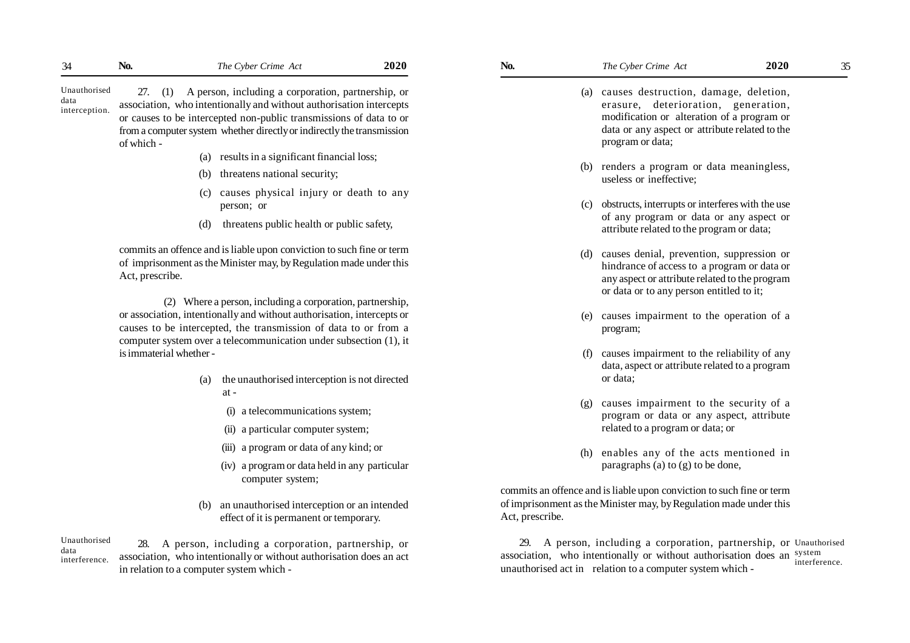Unauthorised data interception.

27. (1) A person, including a corporation, partnership, or association, who intentionally and without authorisation intercepts or causes to be intercepted non-public transmissions of data to or from a computer system whether directly or indirectly the transmission of which -

- (a) results in a significant financial loss;
- (b) threatens national security;
- (c) causes physical injury or death to any person; or
- (d) threatens public health or public safety,

commits an offence and is liable upon conviction to such fine or term of imprisonment as the Minister may, by Regulation made under this Act, prescribe.

 (2) Where a person, including a corporation, partnership, or association, intentionally and without authorisation, intercepts or causes to be intercepted, the transmission of data to or from a computer system over a telecommunication under subsection (1), it is immaterial whether -

- (a) the unauthorised interception is not directed at -
	- (i) a telecommunications system;
	- (ii) a particular computer system;
	- (iii) a program or data of any kind; or
	- (iv) a program or data held in any particular computer system;
- (b) an unauthorised interception or an intended effect of it is permanent or temporary.

28. A person, including a corporation, partnership, or association, who intentionally or without authorisation does an act in relation to a computer system which - Unauthorised data interference.

- 
- 

- (a) causes destruction, damage, deletion, erasure, deterioration, generation, modification or alteration of a program or data or any aspect or attribute related to the program or data;
- (b) renders a program or data meaningless, useless or ineffective;
- (c) obstructs, interrupts or interferes with the use of any program or data or any aspect or attribute related to the program or data;
- (d) causes denial, prevention, suppression or hindrance of access to a program or data or any aspect or attribute related to the program or data or to any person entitled to it;
- (e) causes impairment to the operation of a program;
- (f) causes impairment to the reliability of any data, aspect or attribute related to a program or data;
- (g) causes impairment to the security of a program or data or any aspect, attribute related to a program or data; or
- (h) enables any of the acts mentioned in paragraphs (a) to (g) to be done,

commits an offence and is liable upon conviction to such fine or term of imprisonment as the Minister may, by Regulation made under this Act, prescribe.

29. A person, including a corporation, partnership, or Unauthorised association, who intentionally or without authorisation does an system unauthorised act in relation to a computer system which interference.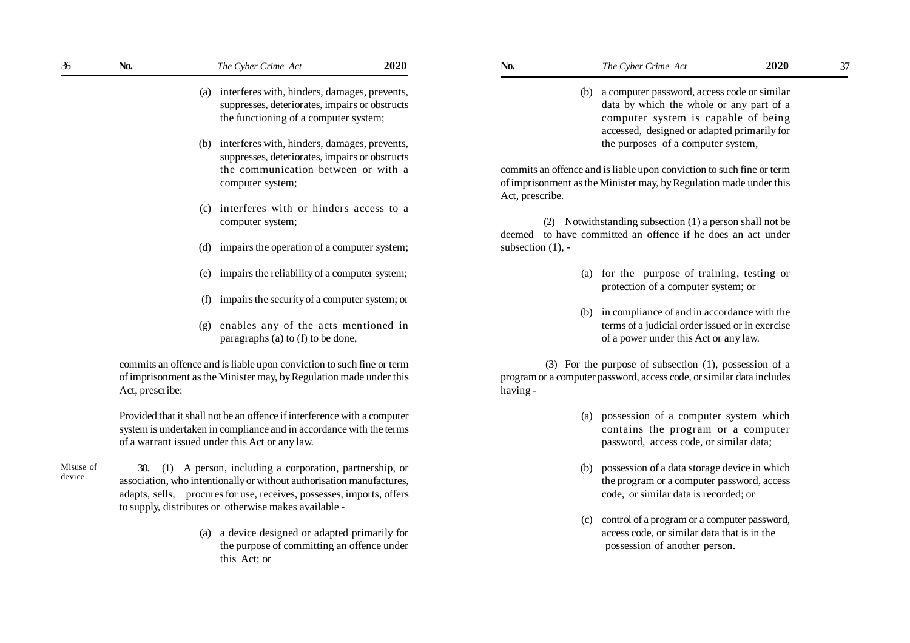(b) interferes with, hinders, damages, prevents, suppresses, deteriorates, impairs or obstructs the communication between or with a computer system;

the functioning of a computer system;

(c) interferes with or hinders access to a computer system;

- (d) impairs the operation of a computer system;
- (e) impairs the reliability of a computer system;
- (f) impairs the security of a computer system; or
- (g) enables any of the acts mentioned in paragraphs (a) to (f) to be done,

commits an offence and is liable upon conviction to such fine or term of imprisonment as the Minister may, by Regulation made under this Act, prescribe:

Provided that it shall not be an offence if interference with a computer system is undertaken in compliance and in accordance with the terms of a warrant issued under this Act or any law.

Misuse of device.

- 30. (1) A person, including a corporation, partnership, or association, who intentionally or without authorisation manufactures, adapts, sells, procures for use, receives, possesses, imports, offers to supply, distributes or otherwise makes available -
	- (a) a device designed or adapted primarily for the purpose of committing an offence under this Act; or

- - (b) a computer password, access code or similar data by which the whole or any part of a computer system is capable of being accessed, designed or adapted primarily for the purposes of a computer system,

commits an offence and is liable upon conviction to such fine or term of imprisonment as the Minister may, by Regulation made under this Act, prescribe.

(2) Notwithstanding subsection (1) a person shall not be deemed to have committed an offence if he does an act under subsection (1), -

- (a) for the purpose of training, testing or protection of a computer system; or
- (b) in compliance of and in accordance with the terms of a judicial order issued or in exercise of a power under this Act or any law.

 (3) For the purpose of subsection (1), possession of a program or a computer password, access code, or similar data includes having -

- (a) possession of a computer system which contains the program or a computer password, access code, or similar data;
- (b) possession of a data storage device in which the program or a computer password, access code, or similar data is recorded; or
- (c) control of a program or a computer password, access code, or similar data that is in the possession of another person.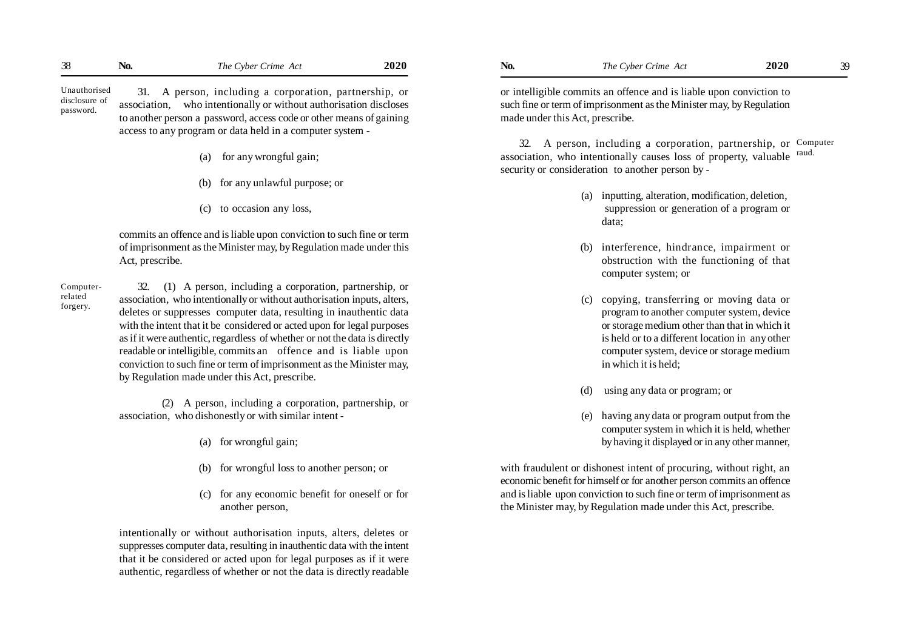| 38<br>No.<br>v | Crime<br>Act<br>Cyber <i>x</i><br>1 he | 2020 | NO. | The Cyber<br>$\mathcal{L}$ rime<br>47<br>2 I U | 2020 | -201 |
|----------------|----------------------------------------|------|-----|------------------------------------------------|------|------|
|----------------|----------------------------------------|------|-----|------------------------------------------------|------|------|

Unauthorised disclosure of password.

31. A person, including a corporation, partnership, or association, who intentionally or without authorisation discloses to another person a password, access code or other means of gaining access to any program or data held in a computer system -

- (a) for any wrongful gain;
- (b) for any unlawful purpose; or
- (c) to occasion any loss,

commits an offence and is liable upon conviction to such fine or term of imprisonment as the Minister may, by Regulation made under this Act, prescribe.

Computerrelated forgery.

32. (1) A person, including a corporation, partnership, or association, who intentionally or without authorisation inputs, alters, deletes or suppresses computer data, resulting in inauthentic data with the intent that it be considered or acted upon for legal purposes as if it were authentic, regardless of whether or not the data is directly readable or intelligible, commits an offence and is liable upon conviction to such fine or term of imprisonment as the Minister may, by Regulation made under this Act, prescribe.

(2) A person, including a corporation, partnership, or association, who dishonestly or with similar intent -

- (a) for wrongful gain;
- (b) for wrongful loss to another person; or
- (c) for any economic benefit for oneself or for another person,

intentionally or without authorisation inputs, alters, deletes or suppresses computer data, resulting in inauthentic data with the intent that it be considered or acted upon for legal purposes as if it were authentic, regardless of whether or not the data is directly readable

or intelligible commits an offence and is liable upon conviction to such fine or term of imprisonment as the Minister may, by Regulation made under this Act, prescribe.

32. A person, including a corporation, partnership, or Computer association, who intentionally causes loss of property, valuable security or consideration to another person by raud.

- (a) inputting, alteration, modification, deletion, suppression or generation of a program or data;
- (b) interference, hindrance, impairment or obstruction with the functioning of that computer system; or
- (c) copying, transferring or moving data or program to another computer system, device or storage medium other than that in which it is held or to a different location in any other computer system, device or storage medium in which it is held;
- using any data or program; or
- (e) having any data or program output from the computer system in which it is held, whether by having it displayed or in any other manner,

with fraudulent or dishonest intent of procuring, without right, an economic benefit for himself or for another person commits an offence and is liable upon conviction to such fine or term of imprisonment as the Minister may, by Regulation made under this Act, prescribe.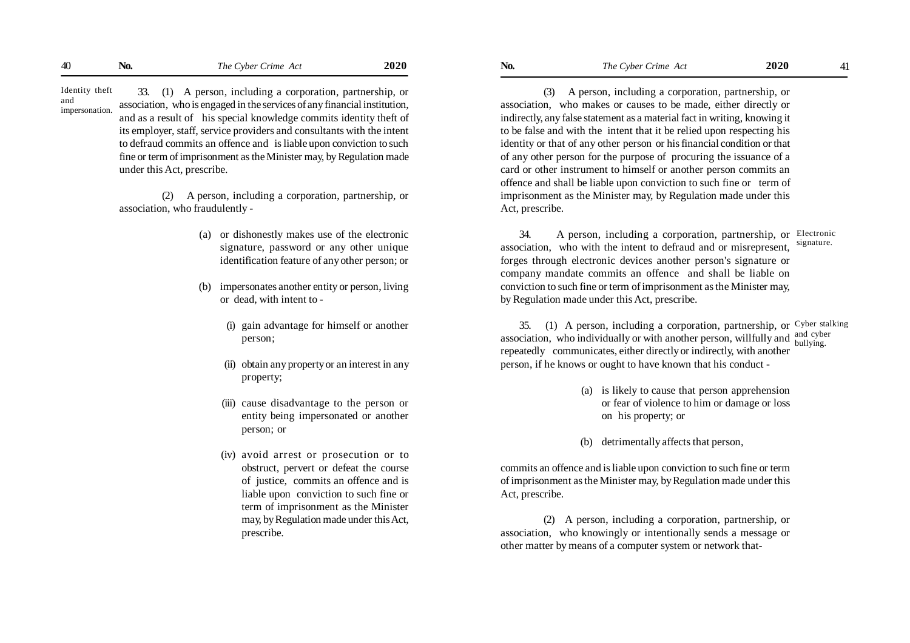33. (1) A person, including a corporation, partnership, or association, who is engaged in the services of any financial institution, and as a result of his special knowledge commits identity theft of its employer, staff, service providers and consultants with the intent to defraud commits an offence and is liable upon conviction to such fine or term of imprisonment as the Minister may, by Regulation made under this Act, prescribe. Identity theft impersonation.

and

(2) A person, including a corporation, partnership, or association, who fraudulently -

- (a) or dishonestly makes use of the electronic signature, password or any other unique identification feature of any other person; or
- (b) impersonates another entity or person, living or dead, with intent to -
	- (i) gain advantage for himself or another person;
	- (ii) obtain any property or an interest in any property;
	- (iii) cause disadvantage to the person or entity being impersonated or another person; or
	- (iv) avoid arrest or prosecution or to obstruct, pervert or defeat the course of justice, commits an offence and is liable upon conviction to such fine or term of imprisonment as the Minister may, by Regulation made under this Act, prescribe.

(3) A person, including a corporation, partnership, or association, who makes or causes to be made, either directly or indirectly, any false statement as a material fact in writing, knowing it to be false and with the intent that it be relied upon respecting his identity or that of any other person or his financial condition or that of any other person for the purpose of procuring the issuance of a card or other instrument to himself or another person commits an offence and shall be liable upon conviction to such fine or term of imprisonment as the Minister may, by Regulation made under this Act, prescribe.

34. A person, including a corporation, partnership, or Electronic association, who with the intent to defraud and or misrepresent, forges through electronic devices another person's signature or company mandate commits an offence and shall be liable on conviction to such fine or term of imprisonment as the Minister may, by Regulation made under this Act, prescribe. signature.

35. (1) A person, including a corporation, partnership, or Cyber stalking association, who individually or with another person, willfully and  $\frac{and\;cyber}{butlying}$ repeatedly communicates, either directly or indirectly, with another person, if he knows or ought to have known that his conduct bullying.

- (a) is likely to cause that person apprehension or fear of violence to him or damage or loss on his property; or
- (b) detrimentally affects that person,

commits an offence and is liable upon conviction to such fine or term of imprisonment as the Minister may, by Regulation made under this Act, prescribe.

(2) A person, including a corporation, partnership, or association, who knowingly or intentionally sends a message or other matter by means of a computer system or network that-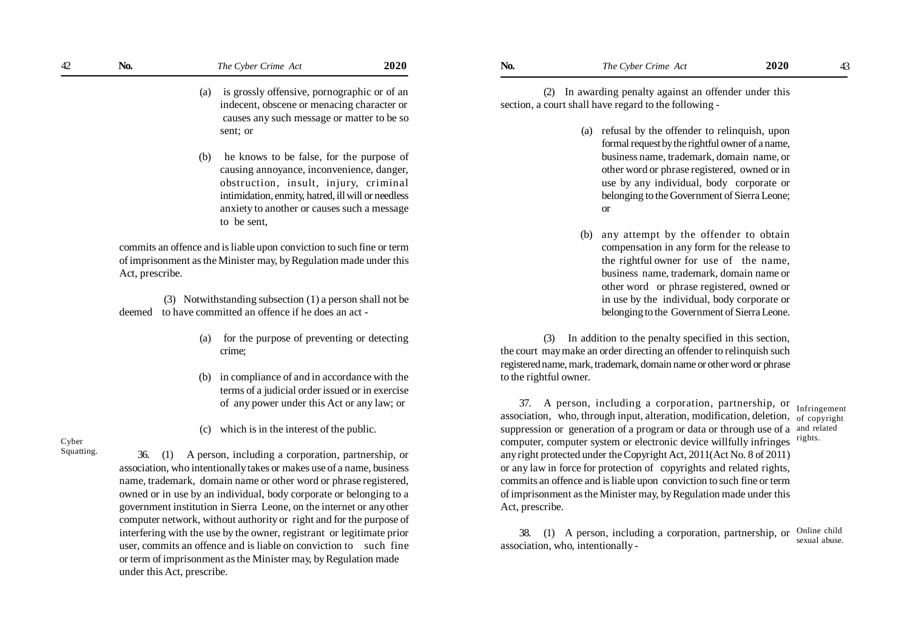- (a) is grossly offensive, pornographic or of an indecent, obscene or menacing character or causes any such message or matter to be so sent; or
- (b) he knows to be false, for the purpose of causing annoyance, inconvenience, danger, obstruction, insult, injury, criminal intimidation, enmity, hatred, ill will or needless anxiety to another or causes such a message to be sent,

commits an offence and is liable upon conviction to such fine or term of imprisonment as the Minister may, by Regulation made under this Act, prescribe.

 (3) Notwithstanding subsection (1) a person shall not be deemed to have committed an offence if he does an act -

- (a) for the purpose of preventing or detecting crime;
- (b) in compliance of and in accordance with the terms of a judicial order issued or in exercise of any power under this Act or any law; or
- (c) which is in the interest of the public.

Cyber Squatting.

36. (1) A person, including a corporation, partnership, or association, who intentionally takes or makes use of a name, business name, trademark, domain name or other word or phrase registered, owned or in use by an individual, body corporate or belonging to a government institution in Sierra Leone, on the internet or any other computer network, without authority or right and for the purpose of interfering with the use by the owner, registrant or legitimate prior user, commits an offence and is liable on conviction to such fine or term of imprisonment as the Minister may, by Regulation made under this Act, prescribe.

(2) In awarding penalty against an offender under this section, a court shall have regard to the following -

- (a) refusal by the offender to relinquish, upon formal request by the rightful owner of a name, business name, trademark, domain name, or other word or phrase registered, owned or in use by any individual, body corporate or belonging to the Government of Sierra Leone; or
- (b) any attempt by the offender to obtain compensation in any form for the release to the rightful owner for use of the name, business name, trademark, domain name or other word or phrase registered, owned or in use by the individual, body corporate or belonging to the Government of Sierra Leone.

(3) In addition to the penalty specified in this section, the court may make an order directing an offender to relinquish such registered name, mark, trademark, domain name or other word or phrase to the rightful owner.

37. A person, including a corporation, partnership, or association, who, through input, alteration, modification, deletion, of copyright suppression or generation of a program or data or through use of a and related computer, computer system or electronic device willfully infringes any right protected under the Copyright Act, 2011(Act No. 8 of 2011) or any law in force for protection of copyrights and related rights, commits an offence and is liable upon conviction to such fine or term of imprisonment as the Minister may, by Regulation made under this Act, prescribe. Infringement rights.

38. (1) A person, including a corporation, partnership, or association, who, intentionally - Online child sexual abuse.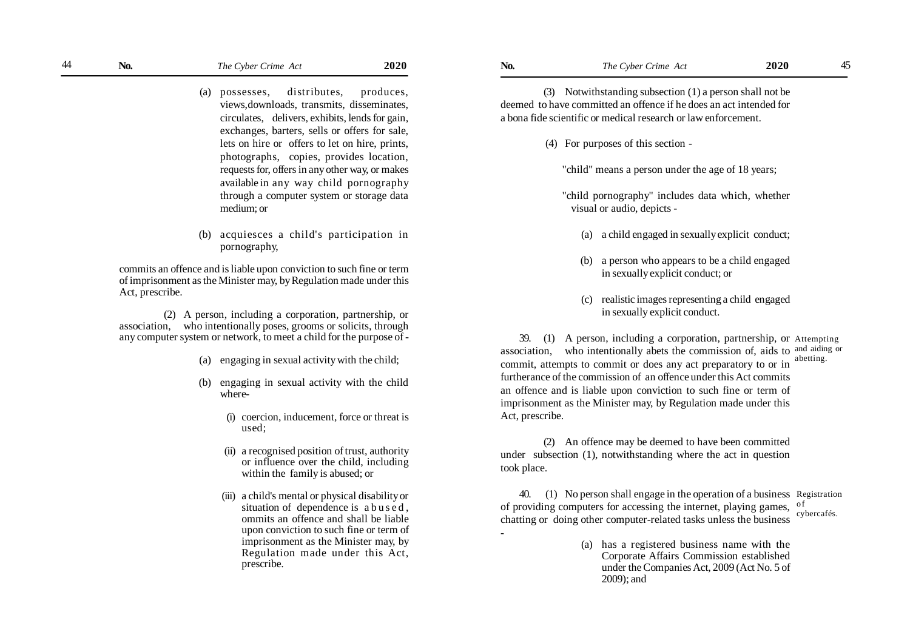- (a) possesses, distributes, produces, views,downloads, transmits, disseminates, circulates, delivers, exhibits, lends for gain, exchanges, barters, sells or offers for sale, lets on hire or offers to let on hire, prints, photographs, copies, provides location, requests for, offers in any other way, or makes available in any way child pornography through a computer system or storage data medium; or
- (b) acquiesces a child's participation in pornography,

commits an offence and is liable upon conviction to such fine or term of imprisonment as the Minister may, by Regulation made under this Act, prescribe.

 (2) A person, including a corporation, partnership, or association, who intentionally poses, grooms or solicits, through any computer system or network, to meet a child for the purpose of -

- (a) engaging in sexual activity with the child;
- (b) engaging in sexual activity with the child where-
	- (i) coercion, inducement, force or threat is used;
	- (ii) a recognised position of trust, authority or influence over the child, including within the family is abused; or
	- (iii) a child's mental or physical disability or situation of dependence is a bused. ommits an offence and shall be liable upon conviction to such fine or term of imprisonment as the Minister may, by Regulation made under this Act, prescribe.

(3) Notwithstanding subsection (1) a person shall not be deemed to have committed an offence if he does an act intended for a bona fide scientific or medical research or law enforcement.

- (4) For purposes of this section
	- "child" means a person under the age of 18 years;
	- "child pornography" includes data which, whether visual or audio, depicts -
		- (a) a child engaged in sexually explicit conduct;
		- (b) a person who appears to be a child engaged in sexually explicit conduct; or
		- (c) realistic images representing a child engaged in sexually explicit conduct.

39. (1) A person, including a corporation, partnership, or Attempting association, who intentionally abets the commission of, aids to  $\frac{and \n $aiding \n<sub>of</sub>}{atring}$$ commit, attempts to commit or does any act preparatory to or in furtherance of the commission of an offence under this Act commits an offence and is liable upon conviction to such fine or term of imprisonment as the Minister may, by Regulation made under this Act, prescribe. abetting.

(2) An offence may be deemed to have been committed under subsection (1), notwithstanding where the act in question took place.

40. (1) No person shall engage in the operation of a business Registration of providing computers for accessing the internet, playing games,  $\frac{0 \text{ f}}{\text{m} \cdot \text{h}}$ chatting or doing other computer-related tasks unless the business cybercafés.

> (a) has a registered business name with the Corporate Affairs Commission established under the Companies Act, 2009 (Act No. 5 of 2009); and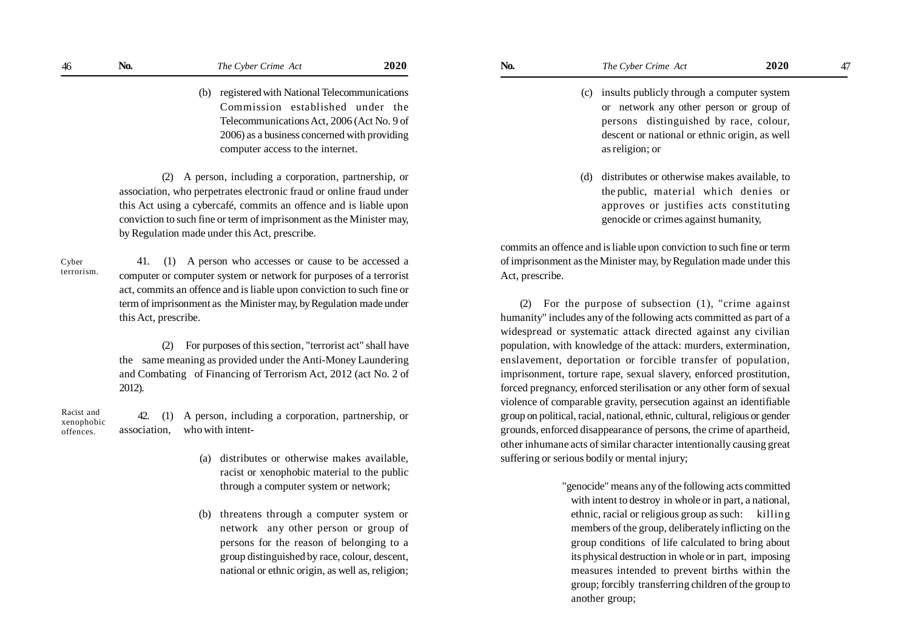(b) registered with National Telecommunications Commission established under the Telecommunications Act, 2006 (Act No. 9 of 2006) as a business concerned with providing computer access to the internet.

(2) A person, including a corporation, partnership, or association, who perpetrates electronic fraud or online fraud under this Act using a cybercafé, commits an offence and is liable upon conviction to such fine or term of imprisonment as the Minister may, by Regulation made under this Act, prescribe.

Cyber terrorism.

 41. (1) A person who accesses or cause to be accessed a computer or computer system or network for purposes of a terrorist act, commits an offence and is liable upon conviction to such fine or term of imprisonment as the Minister may, by Regulation made under this Act, prescribe.

(2) For purposes of this section, "terrorist act" shall have the same meaning as provided under the Anti-Money Laundering and Combating of Financing of Terrorism Act, 2012 (act No. 2 of 2012).

42. (1) A person, including a corporation, partnership, or association, who with intent- Racist and xenophobic offences.

- (a) distributes or otherwise makes available, racist or xenophobic material to the public through a computer system or network;
- (b) threatens through a computer system or network any other person or group of persons for the reason of belonging to a group distinguished by race, colour, descent, national or ethnic origin, as well as, religion;
- - (c) insults publicly through a computer system or network any other person or group of persons distinguished by race, colour, descent or national or ethnic origin, as well as religion; or
	- (d) distributes or otherwise makes available, to the public, material which denies or approves or justifies acts constituting genocide or crimes against humanity,

commits an offence and is liable upon conviction to such fine or term of imprisonment as the Minister may, by Regulation made under this Act, prescribe.

(2) For the purpose of subsection (1), "crime against humanity" includes any of the following acts committed as part of a widespread or systematic attack directed against any civilian population, with knowledge of the attack: murders, extermination, enslavement, deportation or forcible transfer of population, imprisonment, torture rape, sexual slavery, enforced prostitution, forced pregnancy, enforced sterilisation or any other form of sexual violence of comparable gravity, persecution against an identifiable group on political, racial, national, ethnic, cultural, religious or gender grounds, enforced disappearance of persons, the crime of apartheid, other inhumane acts of similar character intentionally causing great suffering or serious bodily or mental injury;

> "genocide" means any of the following acts committed with intent to destroy in whole or in part, a national, ethnic, racial or religious group as such: killing members of the group, deliberately inflicting on the group conditions of life calculated to bring about its physical destruction in whole or in part, imposing measures intended to prevent births within the group; forcibly transferring children of the group to another group;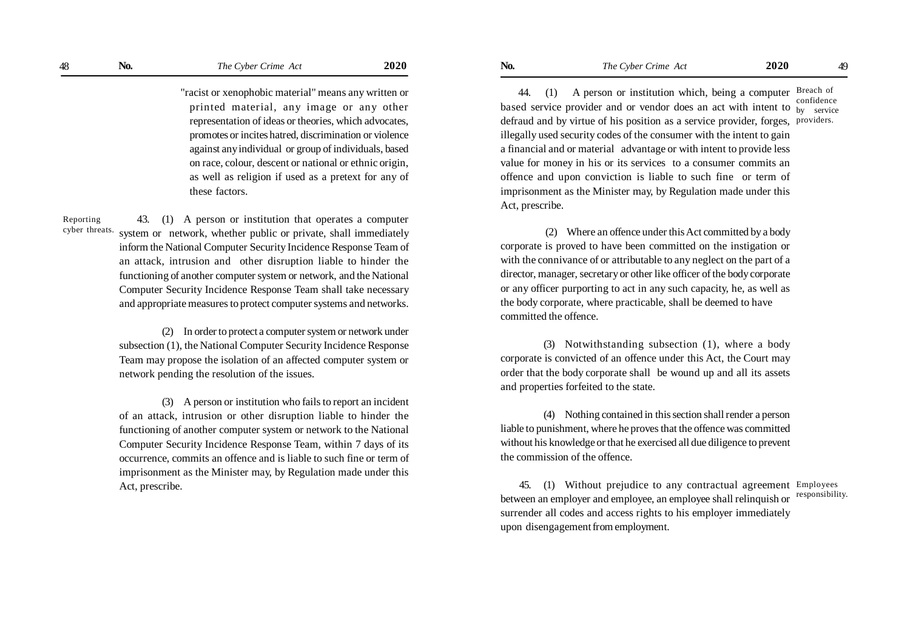"racist or xenophobic material" means any written or printed material, any image or any other representation of ideas or theories, which advocates, promotes or incites hatred, discrimination or violence against any individual or group of individuals, based on race, colour, descent or national or ethnic origin, as well as religion if used as a pretext for any of these factors.

Reporting cyber threats.

 43. (1) A person or institution that operates a computer system or network, whether public or private, shall immediately inform the National Computer Security Incidence Response Team of an attack, intrusion and other disruption liable to hinder the functioning of another computer system or network, and the National Computer Security Incidence Response Team shall take necessary and appropriate measures to protect computer systems and networks.

(2) In order to protect a computer system or network under subsection (1), the National Computer Security Incidence Response Team may propose the isolation of an affected computer system or network pending the resolution of the issues.

(3) A person or institution who fails to report an incident of an attack, intrusion or other disruption liable to hinder the functioning of another computer system or network to the National Computer Security Incidence Response Team, within 7 days of its occurrence, commits an offence and is liable to such fine or term of imprisonment as the Minister may, by Regulation made under this Act, prescribe.

 44. (1) A person or institution which, being a computer Breach of based service provider and or vendor does an act with intent to  $\frac{b}{y}$  service defraud and by virtue of his position as a service provider, forges, providers.illegally used security codes of the consumer with the intent to gain a financial and or material advantage or with intent to provide less value for money in his or its services to a consumer commits an offence and upon conviction is liable to such fine or term of imprisonment as the Minister may, by Regulation made under this Act, prescribe. confidence

 (2) Where an offence under this Act committed by a body corporate is proved to have been committed on the instigation or with the connivance of or attributable to any neglect on the part of a director, manager, secretary or other like officer of the body corporate or any officer purporting to act in any such capacity, he, as well as the body corporate, where practicable, shall be deemed to have committed the offence.

(3) Notwithstanding subsection (1), where a body corporate is convicted of an offence under this Act, the Court may order that the body corporate shall be wound up and all its assets and properties forfeited to the state.

(4) Nothing contained in this section shall render a person liable to punishment, where he proves that the offence was committed without his knowledge or that he exercised all due diligence to prevent the commission of the offence.

45. (1) Without prejudice to any contractual agreement Employees between an employer and employee, an employee shall relinquish or surrender all codes and access rights to his employer immediately upon disengagement from employment. responsibility.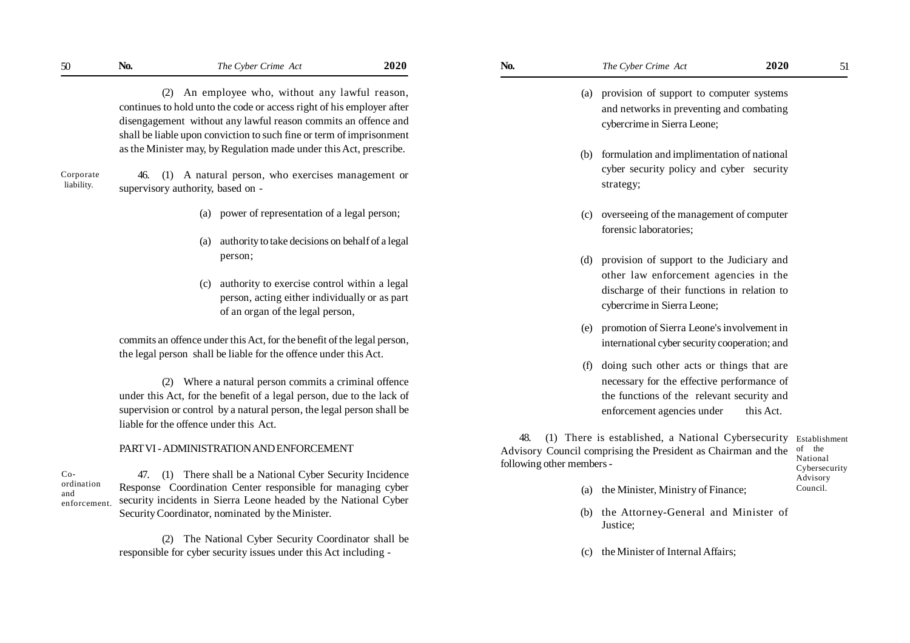(2) An employee who, without any lawful reason, continues to hold unto the code or access right of his employer after disengagement without any lawful reason commits an offence and shall be liable upon conviction to such fine or term of imprisonment as the Minister may, by Regulation made under this Act, prescribe.

Corporate liability.

46. (1) A natural person, who exercises management or supervisory authority, based on -

- (a) power of representation of a legal person;
- (a) authority to take decisions on behalf of a legal person;
- (c) authority to exercise control within a legal person, acting either individually or as part of an organ of the legal person,

commits an offence under this Act, for the benefit of the legal person, the legal person shall be liable for the offence under this Act.

(2) Where a natural person commits a criminal offence under this Act, for the benefit of a legal person, due to the lack of supervision or control by a natural person, the legal person shall be liable for the offence under this Act.

#### PART VI - ADMINISTRATION AND ENFORCEMENT

Coordination and enforcement.

47. (1) There shall be a National Cyber Security Incidence Response Coordination Center responsible for managing cyber security incidents in Sierra Leone headed by the National Cyber Security Coordinator, nominated by the Minister.

(2) The National Cyber Security Coordinator shall be responsible for cyber security issues under this Act including -

- (a) provision of support to computer systems and networks in preventing and combating cybercrime in Sierra Leone;
- (b) formulation and implimentation of national cyber security policy and cyber security strategy;
- (c) overseeing of the management of computer forensic laboratories;
- (d) provision of support to the Judiciary and other law enforcement agencies in the discharge of their functions in relation to cybercrime in Sierra Leone;
- (e) promotion of Sierra Leone's involvement in international cyber security cooperation; and
- (f) doing such other acts or things that are necessary for the effective performance of the functions of the relevant security and enforcement agencies under this Act.

48. (1) There is established, a National Cybersecurity Establishment Advisory Council comprising the President as Chairman and the following other members -

of the National Cybersecurity Advisory Council.

- (a) the Minister, Ministry of Finance;
- (b) the Attorney-General and Minister of Justice;
- (c) the Minister of Internal Affairs;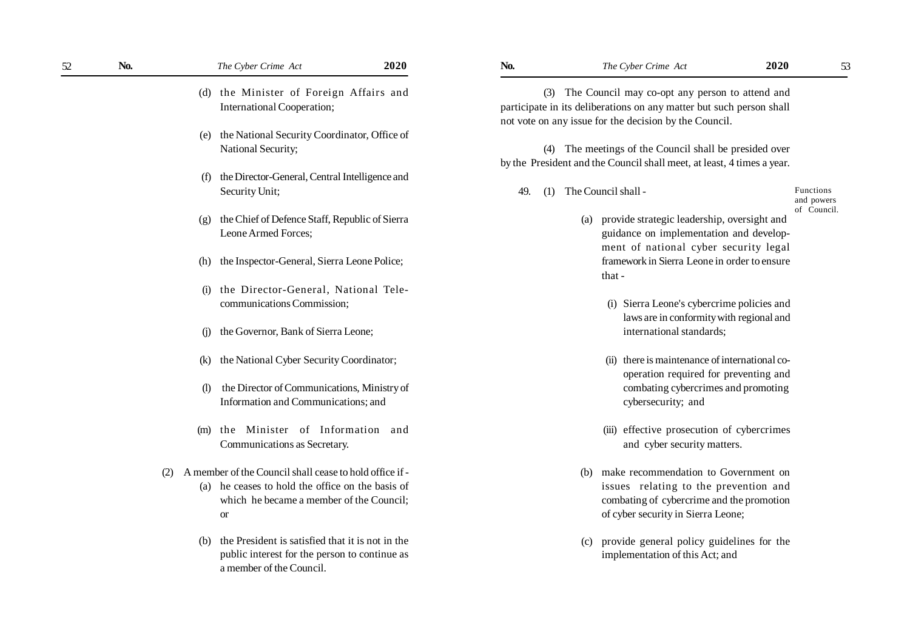| 52 | No. |                             | The Cyber Crime Act                                     | 2020 | No. |     | The Cyber Crime Act                                                    | 2020 | 53                        |
|----|-----|-----------------------------|---------------------------------------------------------|------|-----|-----|------------------------------------------------------------------------|------|---------------------------|
|    |     | (d)                         | the Minister of Foreign Affairs and                     |      |     |     | (3) The Council may co-opt any person to attend and                    |      |                           |
|    |     |                             | International Cooperation;                              |      |     |     | participate in its deliberations on any matter but such person shall   |      |                           |
|    |     |                             |                                                         |      |     |     | not vote on any issue for the decision by the Council.                 |      |                           |
|    |     | (e)                         | the National Security Coordinator, Office of            |      |     |     |                                                                        |      |                           |
|    |     |                             | National Security;                                      |      |     |     | (4) The meetings of the Council shall be presided over                 |      |                           |
|    |     |                             |                                                         |      |     |     | by the President and the Council shall meet, at least, 4 times a year. |      |                           |
|    |     | (f)                         | the Director-General, Central Intelligence and          |      |     |     |                                                                        |      |                           |
|    |     |                             | Security Unit;                                          |      | 49. | (1) | The Council shall -                                                    |      | <b>Functions</b>          |
|    |     |                             |                                                         |      |     |     |                                                                        |      | and powers<br>of Council. |
|    |     | (g)                         | the Chief of Defence Staff, Republic of Sierra          |      |     |     | (a) provide strategic leadership, oversight and                        |      |                           |
|    |     |                             | Leone Armed Forces;                                     |      |     |     | guidance on implementation and develop-                                |      |                           |
|    |     |                             |                                                         |      |     |     | ment of national cyber security legal                                  |      |                           |
|    |     | (h)                         | the Inspector-General, Sierra Leone Police;             |      |     |     | framework in Sierra Leone in order to ensure                           |      |                           |
|    |     |                             |                                                         |      |     |     | that -                                                                 |      |                           |
|    |     | (i)                         | the Director-General, National Tele-                    |      |     |     |                                                                        |      |                           |
|    |     |                             | communications Commission;                              |      |     |     | (i) Sierra Leone's cybercrime policies and                             |      |                           |
|    |     |                             |                                                         |      |     |     | laws are in conformity with regional and                               |      |                           |
|    |     | (i)                         | the Governor, Bank of Sierra Leone;                     |      |     |     | international standards;                                               |      |                           |
|    |     |                             |                                                         |      |     |     |                                                                        |      |                           |
|    |     | (k)                         | the National Cyber Security Coordinator;                |      |     |     | (ii) there is maintenance of international co-                         |      |                           |
|    |     |                             |                                                         |      |     |     | operation required for preventing and                                  |      |                           |
|    |     | $\left( \mathbf{I} \right)$ | the Director of Communications, Ministry of             |      |     |     | combating cybercrimes and promoting                                    |      |                           |
|    |     |                             | Information and Communications; and                     |      |     |     | cybersecurity; and                                                     |      |                           |
|    |     |                             |                                                         |      |     |     |                                                                        |      |                           |
|    |     | (m)                         | the Minister of Information and                         |      |     |     | (iii) effective prosecution of cybercrimes                             |      |                           |
|    |     |                             | Communications as Secretary.                            |      |     |     | and cyber security matters.                                            |      |                           |
|    |     |                             |                                                         |      |     |     |                                                                        |      |                           |
|    | (2) |                             | A member of the Council shall cease to hold office if - |      |     |     | (b) make recommendation to Government on                               |      |                           |
|    |     |                             | (a) he ceases to hold the office on the basis of        |      |     |     | issues relating to the prevention and                                  |      |                           |
|    |     |                             | which he became a member of the Council;                |      |     |     | combating of cybercrime and the promotion                              |      |                           |
|    |     |                             | <b>or</b>                                               |      |     |     | of cyber security in Sierra Leone;                                     |      |                           |
|    |     | (b)                         | the President is satisfied that it is not in the        |      |     | (c) | provide general policy guidelines for the                              |      |                           |
|    |     |                             | public interest for the person to continue as           |      |     |     | implementation of this Act; and                                        |      |                           |

a member of the Council.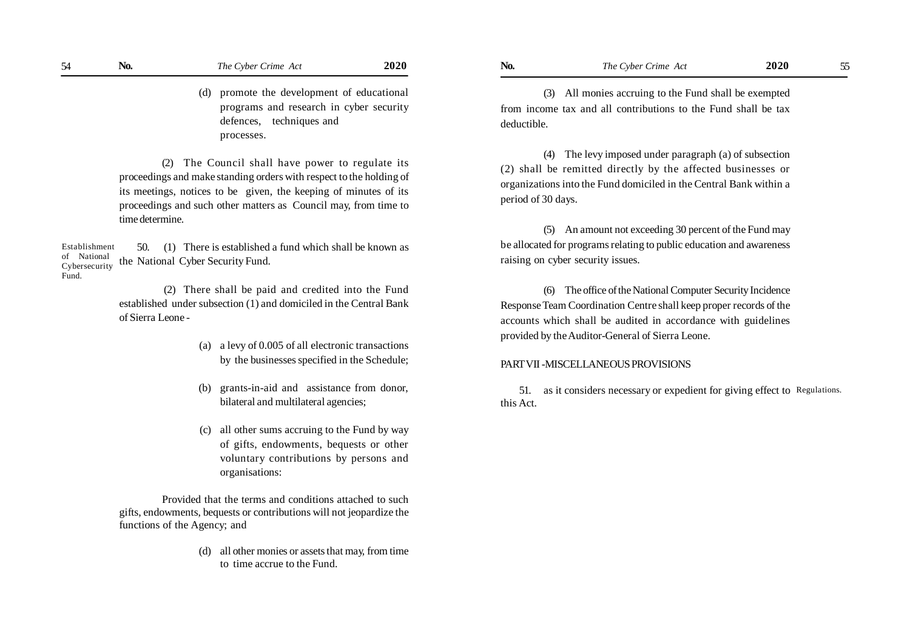(d) promote the development of educational programs and research in cyber security defences, techniques and processes.

(2) The Council shall have power to regulate its proceedings and make standing orders with respect to the holding of its meetings, notices to be given, the keeping of minutes of its proceedings and such other matters as Council may, from time to time determine.

 50. (1) There is established a fund which shall be known as the National Cyber Security Fund. Establishment of National Cybersecurity Fund.

> (2) There shall be paid and credited into the Fund established under subsection (1) and domiciled in the Central Bank of Sierra Leone -

- (a) a levy of 0.005 of all electronic transactions by the businesses specified in the Schedule;
- (b) grants-in-aid and assistance from donor, bilateral and multilateral agencies;
- (c) all other sums accruing to the Fund by way of gifts, endowments, bequests or other voluntary contributions by persons and organisations:

Provided that the terms and conditions attached to such gifts, endowments, bequests or contributions will not jeopardize the functions of the Agency; and

> (d) all other monies or assets that may, from time to time accrue to the Fund.

(3) All monies accruing to the Fund shall be exempted from income tax and all contributions to the Fund shall be tax deductible.

(4) The levy imposed under paragraph (a) of subsection (2) shall be remitted directly by the affected businesses or organizations into the Fund domiciled in the Central Bank within a period of 30 days.

(5) An amount not exceeding 30 percent of the Fund may be allocated for programs relating to public education and awareness raising on cyber security issues.

(6) The office of the National Computer Security Incidence Response Team Coordination Centre shall keep proper records of the accounts which shall be audited in accordance with guidelines provided by the Auditor-General of Sierra Leone.

#### PART VII -MISCELLANEOUS PROVISIONS

51. as it considers necessary or expedient for giving effect to Regulations.this Act.